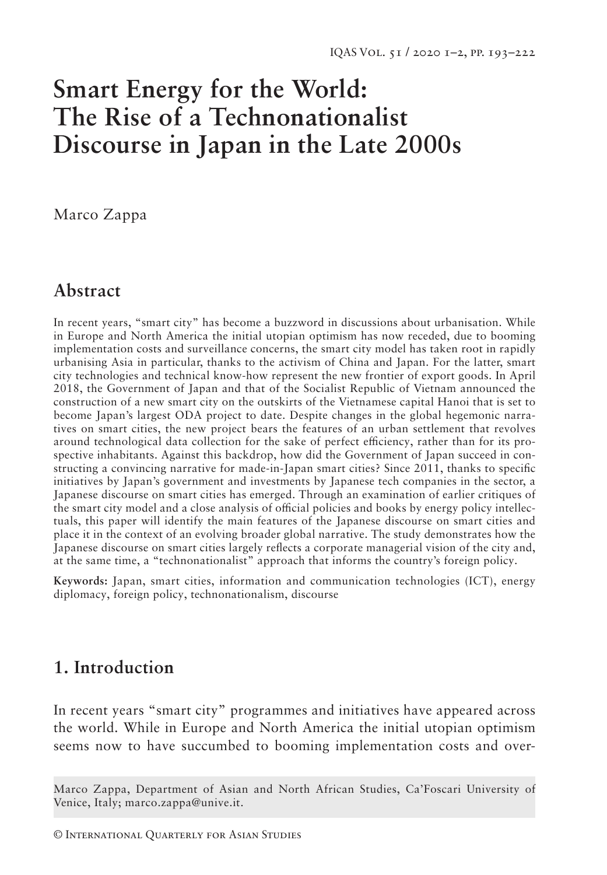# **Smart Energy for the World: The Rise of a Technonationalist Discourse in Japan in the Late 2000s**

Marco Zappa

# **Abstract**

In recent years, "smart city" has become a buzzword in discussions about urbanisation. While in Europe and North America the initial utopian optimism has now receded, due to booming implementation costs and surveillance concerns, the smart city model has taken root in rapidly urbanising Asia in particular, thanks to the activism of China and Japan. For the latter, smart city technologies and technical know-how represent the new frontier of export goods. In April 2018, the Government of Japan and that of the Socialist Republic of Vietnam announced the construction of a new smart city on the outskirts of the Vietnamese capital Hanoi that is set to become Japan's largest ODA project to date. Despite changes in the global hegemonic narratives on smart cities, the new project bears the features of an urban settlement that revolves around technological data collection for the sake of perfect efficiency, rather than for its prospective inhabitants. Against this backdrop, how did the Government of Japan succeed in constructing a convincing narrative for made-in-Japan smart cities? Since 2011, thanks to specific initiatives by Japan's government and investments by Japanese tech companies in the sector, a Japanese discourse on smart cities has emerged. Through an examination of earlier critiques of the smart city model and a close analysis of official policies and books by energy policy intellectuals, this paper will identify the main features of the Japanese discourse on smart cities and place it in the context of an evolving broader global narrative. The study demonstrates how the Japanese discourse on smart cities largely reflects a corporate managerial vision of the city and, at the same time, a "technonationalist" approach that informs the country's foreign policy.

**Keywords:** Japan, smart cities, information and communication technologies (ICT), energy diplomacy, foreign policy, technonationalism, discourse

## **1. Introduction**

In recent years "smart city" programmes and initiatives have appeared across the world. While in Europe and North America the initial utopian optimism seems now to have succumbed to booming implementation costs and over-

Marco Zappa, Department of Asian and North African Studies, Ca'Foscari University of Venice, Italy; marco.zappa@unive.it.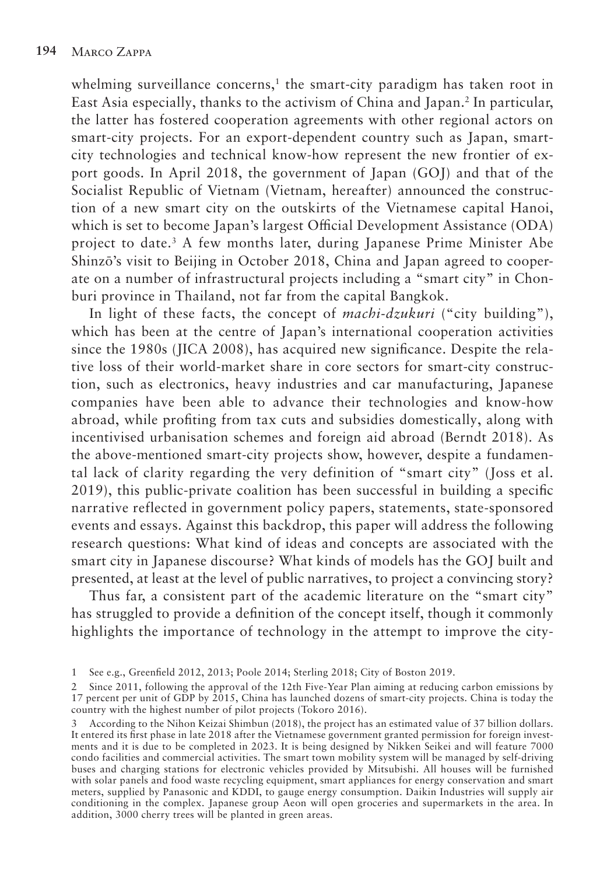whelming surveillance concerns,<sup>1</sup> the smart-city paradigm has taken root in East Asia especially, thanks to the activism of China and Japan.2 In particular, the latter has fostered cooperation agreements with other regional actors on smart-city projects. For an export-dependent country such as Japan, smartcity technologies and technical know-how represent the new frontier of export goods. In April 2018, the government of Japan (GOJ) and that of the Socialist Republic of Vietnam (Vietnam, hereafter) announced the construction of a new smart city on the outskirts of the Vietnamese capital Hanoi, which is set to become Japan's largest Official Development Assistance (ODA) project to date.3 A few months later, during Japanese Prime Minister Abe Shinzō's visit to Beijing in October 2018, China and Japan agreed to cooperate on a number of infrastructural projects including a "smart city" in Chonburi province in Thailand, not far from the capital Bangkok.

In light of these facts, the concept of *machi-dzukuri* ("city building"), which has been at the centre of Japan's international cooperation activities since the 1980s (JICA 2008), has acquired new significance. Despite the relative loss of their world-market share in core sectors for smart-city construction, such as electronics, heavy industries and car manufacturing, Japanese companies have been able to advance their technologies and know-how abroad, while profiting from tax cuts and subsidies domestically, along with incentivised urbanisation schemes and foreign aid abroad (Berndt 2018). As the above-mentioned smart-city projects show, however, despite a fundamental lack of clarity regarding the very definition of "smart city" (Joss et al. 2019), this public-private coalition has been successful in building a specific narrative reflected in government policy papers, statements, state-sponsored events and essays. Against this backdrop, this paper will address the following research questions: What kind of ideas and concepts are associated with the smart city in Japanese discourse? What kinds of models has the GOJ built and presented, at least at the level of public narratives, to project a convincing story?

Thus far, a consistent part of the academic literature on the "smart city" has struggled to provide a definition of the concept itself, though it commonly highlights the importance of technology in the attempt to improve the city-

<sup>1</sup> See e.g., Greenfield 2012, 2013; Poole 2014; Sterling 2018; City of Boston 2019.

<sup>2</sup> Since 2011, following the approval of the 12th Five-Year Plan aiming at reducing carbon emissions by 17 percent per unit of GDP by 2015, China has launched dozens of smart-city projects. China is today the country with the highest number of pilot projects (Tokoro 2016).

<sup>3</sup> According to the Nihon Keizai Shimbun (2018), the project has an estimated value of 37 billion dollars. It entered its first phase in late 2018 after the Vietnamese government granted permission for foreign investments and it is due to be completed in 2023. It is being designed by Nikken Seikei and will feature 7000 condo facilities and commercial activities. The smart town mobility system will be managed by self-driving buses and charging stations for electronic vehicles provided by Mitsubishi. All houses will be furnished with solar panels and food waste recycling equipment, smart appliances for energy conservation and smart meters, supplied by Panasonic and KDDI, to gauge energy consumption. Daikin Industries will supply air conditioning in the complex. Japanese group Aeon will open groceries and supermarkets in the area. In addition, 3000 cherry trees will be planted in green areas.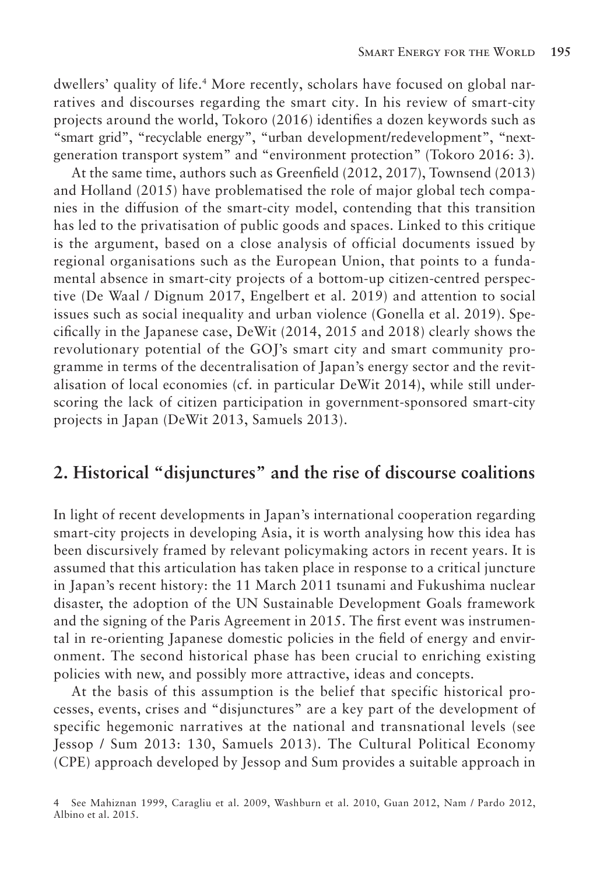dwellers' quality of life.4 More recently, scholars have focused on global narratives and discourses regarding the smart city. In his review of smart-city projects around the world, Tokoro (2016) identifies a dozen keywords such as "smart grid", "recyclable energy", "urban development/redevelopment", "nextgeneration transport system" and "environment protection" (Tokoro 2016: 3).

At the same time, authors such as Greenfield (2012, 2017), Townsend (2013) and Holland (2015) have problematised the role of major global tech companies in the diffusion of the smart-city model, contending that this transition has led to the privatisation of public goods and spaces. Linked to this critique is the argument, based on a close analysis of official documents issued by regional organisations such as the European Union, that points to a fundamental absence in smart-city projects of a bottom-up citizen-centred perspective (De Waal / Dignum 2017, Engelbert et al. 2019) and attention to social issues such as social inequality and urban violence (Gonella et al. 2019). Specifically in the Japanese case, DeWit (2014, 2015 and 2018) clearly shows the revolutionary potential of the GOJ's smart city and smart community programme in terms of the decentralisation of Japan's energy sector and the revitalisation of local economies (cf. in particular DeWit 2014), while still underscoring the lack of citizen participation in government-sponsored smart-city projects in Japan (DeWit 2013, Samuels 2013).

## **2. Historical "disjunctures" and the rise of discourse coalitions**

In light of recent developments in Japan's international cooperation regarding smart-city projects in developing Asia, it is worth analysing how this idea has been discursively framed by relevant policymaking actors in recent years. It is assumed that this articulation has taken place in response to a critical juncture in Japan's recent history: the 11 March 2011 tsunami and Fukushima nuclear disaster, the adoption of the UN Sustainable Development Goals framework and the signing of the Paris Agreement in 2015. The first event was instrumental in re-orienting Japanese domestic policies in the field of energy and environment. The second historical phase has been crucial to enriching existing policies with new, and possibly more attractive, ideas and concepts.

At the basis of this assumption is the belief that specific historical processes, events, crises and "disjunctures" are a key part of the development of specific hegemonic narratives at the national and transnational levels (see Jessop / Sum 2013: 130, Samuels 2013). The Cultural Political Economy (CPE) approach developed by Jessop and Sum provides a suitable approach in

<sup>4</sup> See Mahiznan 1999, Caragliu et al. 2009, Washburn et al. 2010, Guan 2012, Nam / Pardo 2012, Albino et al. 2015.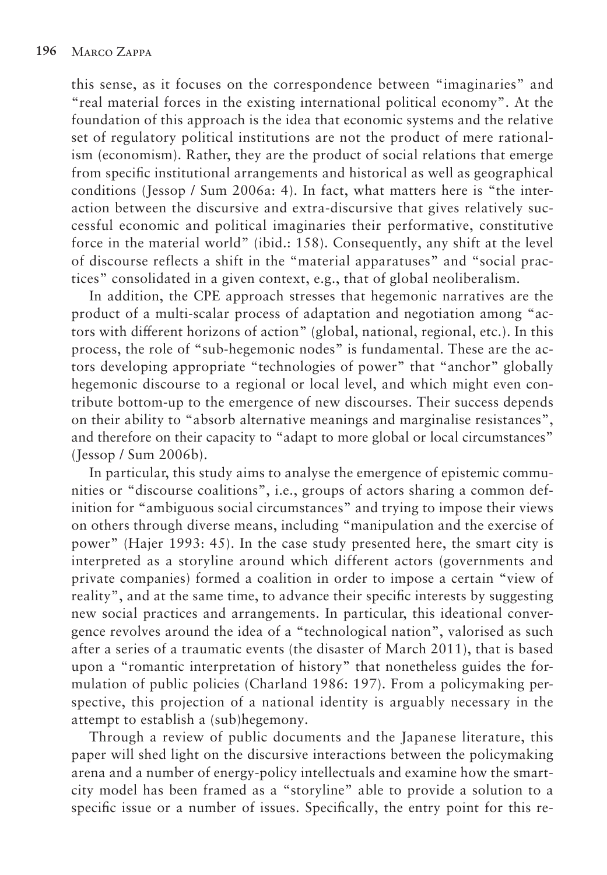this sense, as it focuses on the correspondence between "imaginaries" and "real material forces in the existing international political economy". At the foundation of this approach is the idea that economic systems and the relative set of regulatory political institutions are not the product of mere rationalism (economism). Rather, they are the product of social relations that emerge from specific institutional arrangements and historical as well as geographical conditions (Jessop / Sum 2006a: 4). In fact, what matters here is "the interaction between the discursive and extra-discursive that gives relatively successful economic and political imaginaries their performative, constitutive force in the material world" (ibid.: 158). Consequently, any shift at the level of discourse reflects a shift in the "material apparatuses" and "social practices" consolidated in a given context, e.g., that of global neoliberalism.

In addition, the CPE approach stresses that hegemonic narratives are the product of a multi-scalar process of adaptation and negotiation among "actors with different horizons of action" (global, national, regional, etc.). In this process, the role of "sub-hegemonic nodes" is fundamental. These are the actors developing appropriate "technologies of power" that "anchor" globally hegemonic discourse to a regional or local level, and which might even contribute bottom-up to the emergence of new discourses. Their success depends on their ability to "absorb alternative meanings and marginalise resistances", and therefore on their capacity to "adapt to more global or local circumstances" (Jessop / Sum 2006b).

In particular, this study aims to analyse the emergence of epistemic communities or "discourse coalitions", i.e., groups of actors sharing a common definition for "ambiguous social circumstances" and trying to impose their views on others through diverse means, including "manipulation and the exercise of power" (Hajer 1993: 45). In the case study presented here, the smart city is interpreted as a storyline around which different actors (governments and private companies) formed a coalition in order to impose a certain "view of reality", and at the same time, to advance their specific interests by suggesting new social practices and arrangements. In particular, this ideational convergence revolves around the idea of a "technological nation", valorised as such after a series of a traumatic events (the disaster of March 2011), that is based upon a "romantic interpretation of history" that nonetheless guides the formulation of public policies (Charland 1986: 197). From a policymaking perspective, this projection of a national identity is arguably necessary in the attempt to establish a (sub)hegemony.

Through a review of public documents and the Japanese literature, this paper will shed light on the discursive interactions between the policymaking arena and a number of energy-policy intellectuals and examine how the smartcity model has been framed as a "storyline" able to provide a solution to a specific issue or a number of issues. Specifically, the entry point for this re-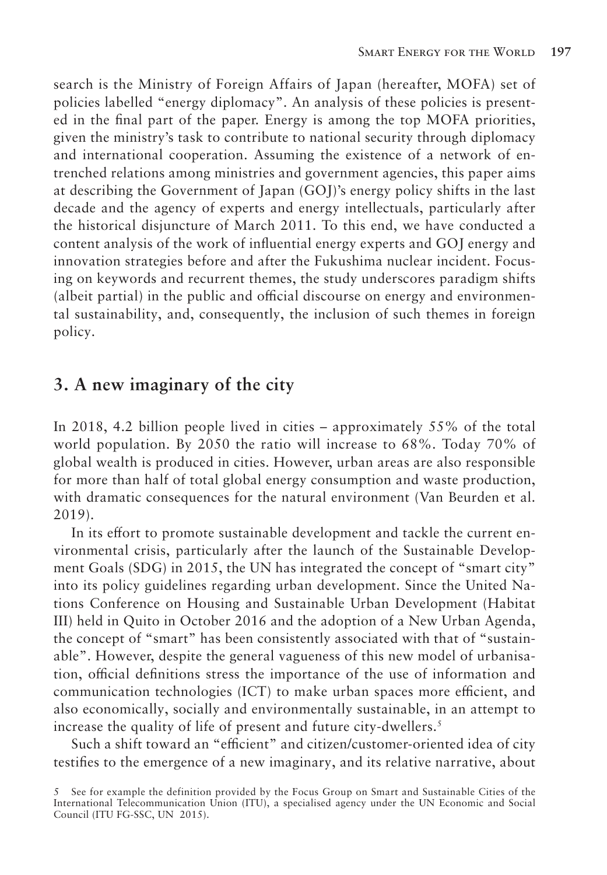search is the Ministry of Foreign Affairs of Japan (hereafter, MOFA) set of policies labelled "energy diplomacy". An analysis of these policies is presented in the final part of the paper. Energy is among the top MOFA priorities, given the ministry's task to contribute to national security through diplomacy and international cooperation. Assuming the existence of a network of entrenched relations among ministries and government agencies, this paper aims at describing the Government of Japan (GOJ)'s energy policy shifts in the last decade and the agency of experts and energy intellectuals, particularly after the historical disjuncture of March 2011. To this end, we have conducted a content analysis of the work of influential energy experts and GOJ energy and innovation strategies before and after the Fukushima nuclear incident. Focusing on keywords and recurrent themes, the study underscores paradigm shifts (albeit partial) in the public and official discourse on energy and environmental sustainability, and, consequently, the inclusion of such themes in foreign policy.

#### **3. A new imaginary of the city**

In 2018, 4.2 billion people lived in cities – approximately 55% of the total world population. By 2050 the ratio will increase to 68%. Today 70% of global wealth is produced in cities. However, urban areas are also responsible for more than half of total global energy consumption and waste production, with dramatic consequences for the natural environment (Van Beurden et al. 2019).

In its effort to promote sustainable development and tackle the current environmental crisis, particularly after the launch of the Sustainable Development Goals (SDG) in 2015, the UN has integrated the concept of "smart city" into its policy guidelines regarding urban development. Since the United Nations Conference on Housing and Sustainable Urban Development (Habitat III) held in Quito in October 2016 and the adoption of a New Urban Agenda, the concept of "smart" has been consistently associated with that of "sustainable". However, despite the general vagueness of this new model of urbanisation, official definitions stress the importance of the use of information and communication technologies (ICT) to make urban spaces more efficient, and also economically, socially and environmentally sustainable, in an attempt to increase the quality of life of present and future city-dwellers.<sup>5</sup>

Such a shift toward an "efficient" and citizen/customer-oriented idea of city testifies to the emergence of a new imaginary, and its relative narrative, about

<sup>5</sup> See for example the definition provided by the Focus Group on Smart and Sustainable Cities of the International Telecommunication Union (ITU), a specialised agency under the UN Economic and Social Council (ITU FG-SSC, UN 2015).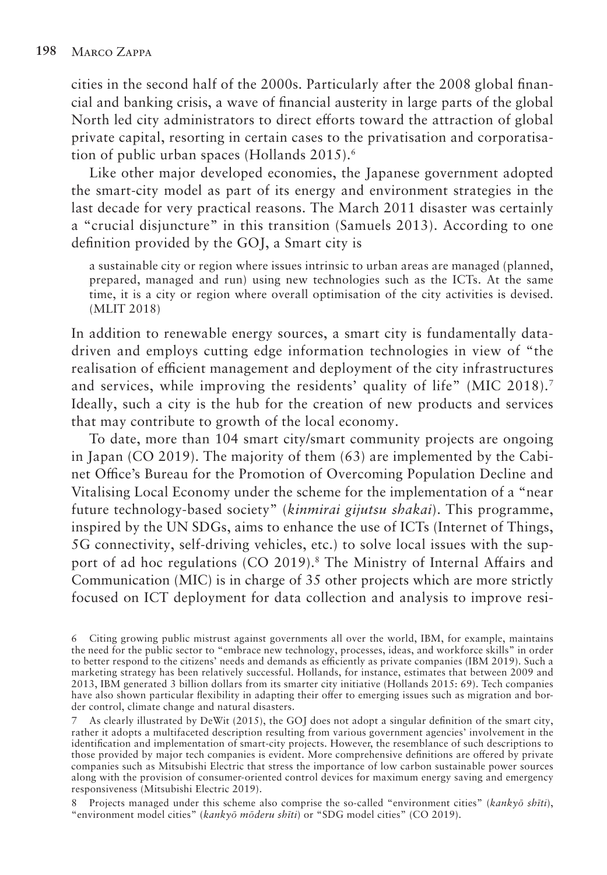cities in the second half of the 2000s. Particularly after the 2008 global financial and banking crisis, a wave of financial austerity in large parts of the global North led city administrators to direct efforts toward the attraction of global private capital, resorting in certain cases to the privatisation and corporatisation of public urban spaces (Hollands 2015).<sup>6</sup>

Like other major developed economies, the Japanese government adopted the smart-city model as part of its energy and environment strategies in the last decade for very practical reasons. The March 2011 disaster was certainly a "crucial disjuncture" in this transition (Samuels 2013). According to one definition provided by the GOJ, a Smart city is

a sustainable city or region where issues intrinsic to urban areas are managed (planned, prepared, managed and run) using new technologies such as the ICTs. At the same time, it is a city or region where overall optimisation of the city activities is devised. (MLIT 2018)

In addition to renewable energy sources, a smart city is fundamentally datadriven and employs cutting edge information technologies in view of "the realisation of efficient management and deployment of the city infrastructures and services, while improving the residents' quality of life" (MIC 2018).<sup>7</sup> Ideally, such a city is the hub for the creation of new products and services that may contribute to growth of the local economy.

To date, more than 104 smart city/smart community projects are ongoing in Japan (CO 2019). The majority of them (63) are implemented by the Cabinet Office's Bureau for the Promotion of Overcoming Population Decline and Vitalising Local Economy under the scheme for the implementation of a "near future technology-based society" (*kinmirai gijutsu shakai*). This programme, inspired by the UN SDGs, aims to enhance the use of ICTs (Internet of Things, 5G connectivity, self-driving vehicles, etc.) to solve local issues with the support of ad hoc regulations (CO 2019).8 The Ministry of Internal Affairs and Communication (MIC) is in charge of 35 other projects which are more strictly focused on ICT deployment for data collection and analysis to improve resi-

8 Projects managed under this scheme also comprise the so-called "environment cities" (*kankyō shīti*), "environment model cities" (*kankyō mōderu shīti*) or "SDG model cities" (CO 2019).

<sup>6</sup> Citing growing public mistrust against governments all over the world, IBM, for example, maintains the need for the public sector to "embrace new technology, processes, ideas, and workforce skills" in order to better respond to the citizens' needs and demands as efficiently as private companies (IBM 2019). Such a marketing strategy has been relatively successful. Hollands, for instance, estimates that between 2009 and 2013, IBM generated 3 billion dollars from its smarter city initiative (Hollands 2015: 69). Tech companies have also shown particular flexibility in adapting their offer to emerging issues such as migration and border control, climate change and natural disasters.

<sup>7</sup> As clearly illustrated by DeWit (2015), the GOJ does not adopt a singular definition of the smart city, rather it adopts a multifaceted description resulting from various government agencies' involvement in the identification and implementation of smart-city projects. However, the resemblance of such descriptions to those provided by major tech companies is evident. More comprehensive definitions are offered by private companies such as Mitsubishi Electric that stress the importance of low carbon sustainable power sources along with the provision of consumer-oriented control devices for maximum energy saving and emergency responsiveness (Mitsubishi Electric 2019).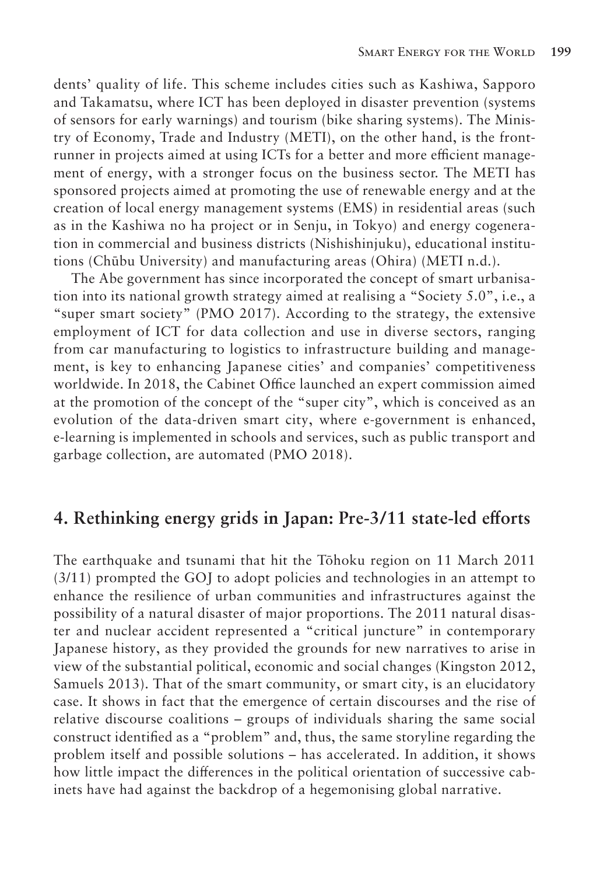dents' quality of life. This scheme includes cities such as Kashiwa, Sapporo and Takamatsu, where ICT has been deployed in disaster prevention (systems of sensors for early warnings) and tourism (bike sharing systems). The Ministry of Economy, Trade and Industry (METI), on the other hand, is the frontrunner in projects aimed at using ICTs for a better and more efficient management of energy, with a stronger focus on the business sector. The METI has sponsored projects aimed at promoting the use of renewable energy and at the creation of local energy management systems (EMS) in residential areas (such as in the Kashiwa no ha project or in Senju, in Tokyo) and energy cogeneration in commercial and business districts (Nishishinjuku), educational institutions (Chūbu University) and manufacturing areas (Ohira) (METI n.d.).

The Abe government has since incorporated the concept of smart urbanisation into its national growth strategy aimed at realising a "Society 5.0", i.e., a "super smart society" (PMO 2017). According to the strategy, the extensive employment of ICT for data collection and use in diverse sectors, ranging from car manufacturing to logistics to infrastructure building and management, is key to enhancing Japanese cities' and companies' competitiveness worldwide. In 2018, the Cabinet Office launched an expert commission aimed at the promotion of the concept of the "super city", which is conceived as an evolution of the data-driven smart city, where e-government is enhanced, e-learning is implemented in schools and services, such as public transport and garbage collection, are automated (PMO 2018).

#### **4. Rethinking energy grids in Japan: Pre-3/11 state-led efforts**

The earthquake and tsunami that hit the Tōhoku region on 11 March 2011 (3/11) prompted the GOJ to adopt policies and technologies in an attempt to enhance the resilience of urban communities and infrastructures against the possibility of a natural disaster of major proportions. The 2011 natural disaster and nuclear accident represented a "critical juncture" in contemporary Japanese history, as they provided the grounds for new narratives to arise in view of the substantial political, economic and social changes (Kingston 2012, Samuels 2013). That of the smart community, or smart city, is an elucidatory case. It shows in fact that the emergence of certain discourses and the rise of relative discourse coalitions – groups of individuals sharing the same social construct identified as a "problem" and, thus, the same storyline regarding the problem itself and possible solutions – has accelerated. In addition, it shows how little impact the differences in the political orientation of successive cabinets have had against the backdrop of a hegemonising global narrative.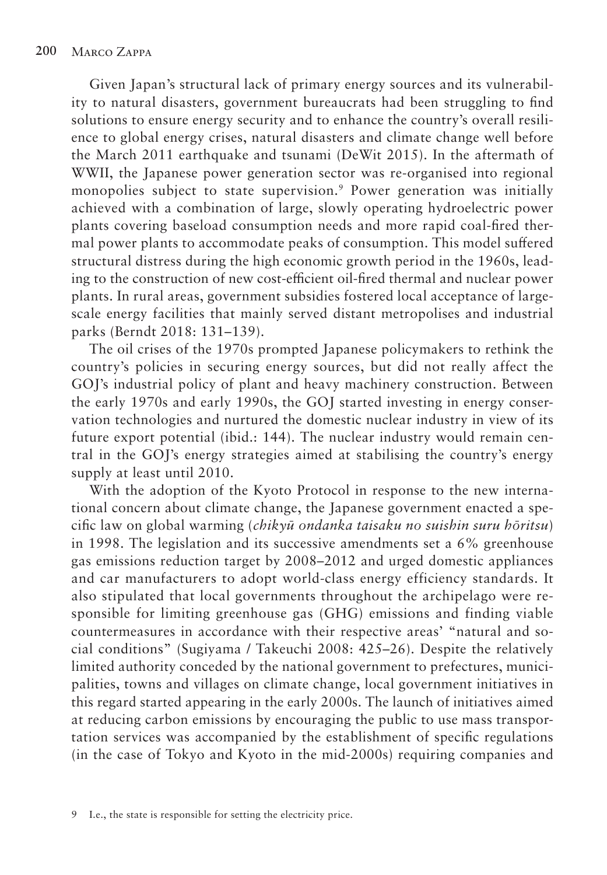Given Japan's structural lack of primary energy sources and its vulnerability to natural disasters, government bureaucrats had been struggling to find solutions to ensure energy security and to enhance the country's overall resilience to global energy crises, natural disasters and climate change well before the March 2011 earthquake and tsunami (DeWit 2015). In the aftermath of WWII, the Japanese power generation sector was re-organised into regional monopolies subject to state supervision.<sup>9</sup> Power generation was initially achieved with a combination of large, slowly operating hydroelectric power plants covering baseload consumption needs and more rapid coal-fired thermal power plants to accommodate peaks of consumption. This model suffered structural distress during the high economic growth period in the 1960s, leading to the construction of new cost-efficient oil-fired thermal and nuclear power plants. In rural areas, government subsidies fostered local acceptance of largescale energy facilities that mainly served distant metropolises and industrial parks (Berndt 2018: 131–139).

The oil crises of the 1970s prompted Japanese policymakers to rethink the country's policies in securing energy sources, but did not really affect the GOJ's industrial policy of plant and heavy machinery construction. Between the early 1970s and early 1990s, the GOJ started investing in energy conservation technologies and nurtured the domestic nuclear industry in view of its future export potential (ibid.: 144). The nuclear industry would remain central in the GOJ's energy strategies aimed at stabilising the country's energy supply at least until 2010.

With the adoption of the Kyoto Protocol in response to the new international concern about climate change, the Japanese government enacted a specific law on global warming (*chikyū ondanka taisaku no suishin suru hōritsu*) in 1998. The legislation and its successive amendments set a 6% greenhouse gas emissions reduction target by 2008–2012 and urged domestic appliances and car manufacturers to adopt world-class energy efficiency standards. It also stipulated that local governments throughout the archipelago were responsible for limiting greenhouse gas (GHG) emissions and finding viable countermeasures in accordance with their respective areas' "natural and social conditions" (Sugiyama / Takeuchi 2008: 425–26). Despite the relatively limited authority conceded by the national government to prefectures, municipalities, towns and villages on climate change, local government initiatives in this regard started appearing in the early 2000s. The launch of initiatives aimed at reducing carbon emissions by encouraging the public to use mass transportation services was accompanied by the establishment of specific regulations (in the case of Tokyo and Kyoto in the mid-2000s) requiring companies and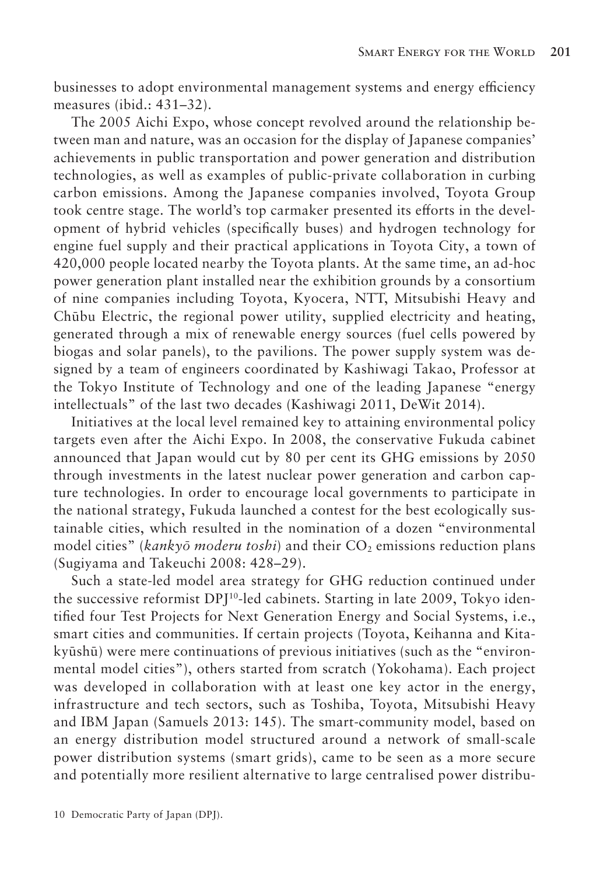businesses to adopt environmental management systems and energy efficiency measures (ibid.: 431–32).

The 2005 Aichi Expo, whose concept revolved around the relationship between man and nature, was an occasion for the display of Japanese companies' achievements in public transportation and power generation and distribution technologies, as well as examples of public-private collaboration in curbing carbon emissions. Among the Japanese companies involved, Toyota Group took centre stage. The world's top carmaker presented its efforts in the development of hybrid vehicles (specifically buses) and hydrogen technology for engine fuel supply and their practical applications in Toyota City, a town of 420,000 people located nearby the Toyota plants. At the same time, an ad-hoc power generation plant installed near the exhibition grounds by a consortium of nine companies including Toyota, Kyocera, NTT, Mitsubishi Heavy and Chūbu Electric, the regional power utility, supplied electricity and heating, generated through a mix of renewable energy sources (fuel cells powered by biogas and solar panels), to the pavilions. The power supply system was designed by a team of engineers coordinated by Kashiwagi Takao, Professor at the Tokyo Institute of Technology and one of the leading Japanese "energy intellectuals" of the last two decades (Kashiwagi 2011, DeWit 2014).

Initiatives at the local level remained key to attaining environmental policy targets even after the Aichi Expo. In 2008, the conservative Fukuda cabinet announced that Japan would cut by 80 per cent its GHG emissions by 2050 through investments in the latest nuclear power generation and carbon capture technologies. In order to encourage local governments to participate in the national strategy, Fukuda launched a contest for the best ecologically sustainable cities, which resulted in the nomination of a dozen "environmental model cities" (*kankyō moderu toshi*) and their CO<sub>2</sub> emissions reduction plans (Sugiyama and Takeuchi 2008: 428–29).

Such a state-led model area strategy for GHG reduction continued under the successive reformist DPJ<sup>10</sup>-led cabinets. Starting in late 2009, Tokyo identified four Test Projects for Next Generation Energy and Social Systems, i.e., smart cities and communities. If certain projects (Toyota, Keihanna and Kitakyūshū) were mere continuations of previous initiatives (such as the "environmental model cities"), others started from scratch (Yokohama). Each project was developed in collaboration with at least one key actor in the energy, infrastructure and tech sectors, such as Toshiba, Toyota, Mitsubishi Heavy and IBM Japan (Samuels 2013: 145). The smart-community model, based on an energy distribution model structured around a network of small-scale power distribution systems (smart grids), came to be seen as a more secure and potentially more resilient alternative to large centralised power distribu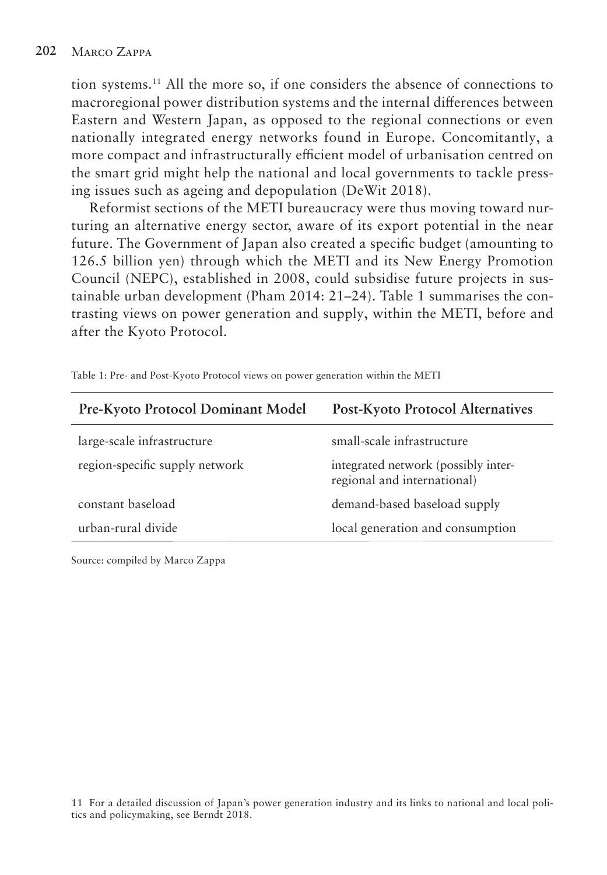tion systems.11 All the more so, if one considers the absence of connections to macroregional power distribution systems and the internal differences between Eastern and Western Japan, as opposed to the regional connections or even nationally integrated energy networks found in Europe. Concomitantly, a more compact and infrastructurally efficient model of urbanisation centred on the smart grid might help the national and local governments to tackle pressing issues such as ageing and depopulation (DeWit 2018).

Reformist sections of the METI bureaucracy were thus moving toward nurturing an alternative energy sector, aware of its export potential in the near future. The Government of Japan also created a specific budget (amounting to 126.5 billion yen) through which the METI and its New Energy Promotion Council (NEPC), established in 2008, could subsidise future projects in sustainable urban development (Pham 2014: 21–24). Table 1 summarises the contrasting views on power generation and supply, within the METI, before and after the Kyoto Protocol.

| Pre-Kyoto Protocol Dominant Model | <b>Post-Kyoto Protocol Alternatives</b>                            |
|-----------------------------------|--------------------------------------------------------------------|
| large-scale infrastructure        | small-scale infrastructure                                         |
| region-specific supply network    | integrated network (possibly inter-<br>regional and international) |
| constant baseload                 | demand-based baseload supply                                       |
| urban-rural divide                | local generation and consumption                                   |

Table 1: Pre- and Post-Kyoto Protocol views on power generation within the METI

Source: compiled by Marco Zappa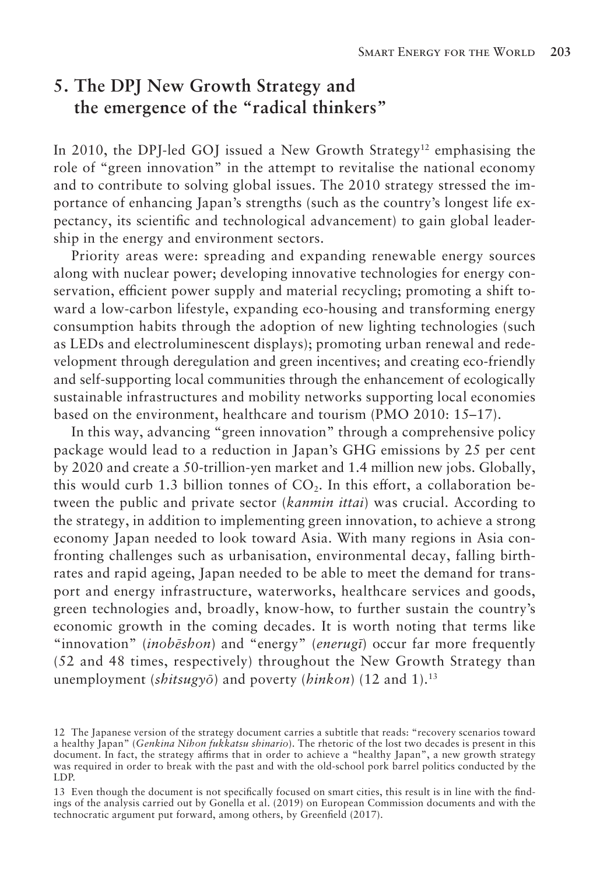# **5. The DPJ New Growth Strategy and the emergence of the "radical thinkers"**

In 2010, the DPJ-led GOJ issued a New Growth Strategy<sup>12</sup> emphasising the role of "green innovation" in the attempt to revitalise the national economy and to contribute to solving global issues. The 2010 strategy stressed the importance of enhancing Japan's strengths (such as the country's longest life expectancy, its scientific and technological advancement) to gain global leadership in the energy and environment sectors.

Priority areas were: spreading and expanding renewable energy sources along with nuclear power; developing innovative technologies for energy conservation, efficient power supply and material recycling; promoting a shift toward a low-carbon lifestyle, expanding eco-housing and transforming energy consumption habits through the adoption of new lighting technologies (such as LEDs and electroluminescent displays); promoting urban renewal and redevelopment through deregulation and green incentives; and creating eco-friendly and self-supporting local communities through the enhancement of ecologically sustainable infrastructures and mobility networks supporting local economies based on the environment, healthcare and tourism (PMO 2010: 15–17).

In this way, advancing "green innovation" through a comprehensive policy package would lead to a reduction in Japan's GHG emissions by 25 per cent by 2020 and create a 50-trillion-yen market and 1.4 million new jobs. Globally, this would curb 1.3 billion tonnes of  $CO<sub>2</sub>$ . In this effort, a collaboration between the public and private sector (*kanmin ittai*) was crucial. According to the strategy, in addition to implementing green innovation, to achieve a strong economy Japan needed to look toward Asia. With many regions in Asia confronting challenges such as urbanisation, environmental decay, falling birthrates and rapid ageing, Japan needed to be able to meet the demand for transport and energy infrastructure, waterworks, healthcare services and goods, green technologies and, broadly, know-how, to further sustain the country's economic growth in the coming decades. It is worth noting that terms like "innovation" (*inobēshon*) and "energy" (*enerugī*) occur far more frequently (52 and 48 times, respectively) throughout the New Growth Strategy than unemployment (*shitsugyō*) and poverty (*hinkon*) (12 and 1).13

<sup>12</sup> The Japanese version of the strategy document carries a subtitle that reads: "recovery scenarios toward a healthy Japan" (*Genkina Nihon fukkatsu shinario*). The rhetoric of the lost two decades is present in this document. In fact, the strategy affirms that in order to achieve a "healthy Japan", a new growth strategy was required in order to break with the past and with the old-school pork barrel politics conducted by the LDP.

<sup>13</sup> Even though the document is not specifically focused on smart cities, this result is in line with the findings of the analysis carried out by Gonella et al. (2019) on European Commission documents and with the technocratic argument put forward, among others, by Greenfield (2017).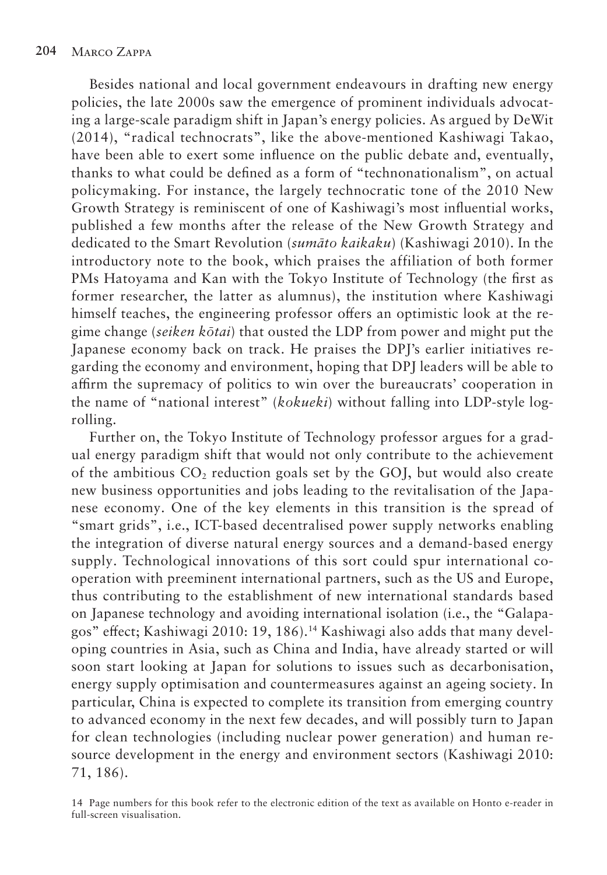Besides national and local government endeavours in drafting new energy policies, the late 2000s saw the emergence of prominent individuals advocating a large-scale paradigm shift in Japan's energy policies. As argued by DeWit (2014), "radical technocrats", like the above-mentioned Kashiwagi Takao, have been able to exert some influence on the public debate and, eventually, thanks to what could be defined as a form of "technonationalism", on actual policymaking. For instance, the largely technocratic tone of the 2010 New Growth Strategy is reminiscent of one of Kashiwagi's most influential works, published a few months after the release of the New Growth Strategy and dedicated to the Smart Revolution (*sumāto kaikaku*) (Kashiwagi 2010). In the introductory note to the book, which praises the affiliation of both former PMs Hatoyama and Kan with the Tokyo Institute of Technology (the first as former researcher, the latter as alumnus), the institution where Kashiwagi himself teaches, the engineering professor offers an optimistic look at the regime change (*seiken kōtai*) that ousted the LDP from power and might put the Japanese economy back on track. He praises the DPJ's earlier initiatives regarding the economy and environment, hoping that DPJ leaders will be able to affirm the supremacy of politics to win over the bureaucrats' cooperation in the name of "national interest" (*kokueki*) without falling into LDP-style logrolling.

Further on, the Tokyo Institute of Technology professor argues for a gradual energy paradigm shift that would not only contribute to the achievement of the ambitious  $CO<sub>2</sub>$  reduction goals set by the GOJ, but would also create new business opportunities and jobs leading to the revitalisation of the Japanese economy. One of the key elements in this transition is the spread of "smart grids", i.e., ICT-based decentralised power supply networks enabling the integration of diverse natural energy sources and a demand-based energy supply. Technological innovations of this sort could spur international cooperation with preeminent international partners, such as the US and Europe, thus contributing to the establishment of new international standards based on Japanese technology and avoiding international isolation (i.e., the "Galapagos" effect; Kashiwagi 2010: 19, 186).14 Kashiwagi also adds that many developing countries in Asia, such as China and India, have already started or will soon start looking at Japan for solutions to issues such as decarbonisation, energy supply optimisation and countermeasures against an ageing society. In particular, China is expected to complete its transition from emerging country to advanced economy in the next few decades, and will possibly turn to Japan for clean technologies (including nuclear power generation) and human resource development in the energy and environment sectors (Kashiwagi 2010: 71, 186).

<sup>14</sup> Page numbers for this book refer to the electronic edition of the text as available on Honto e-reader in full-screen visualisation.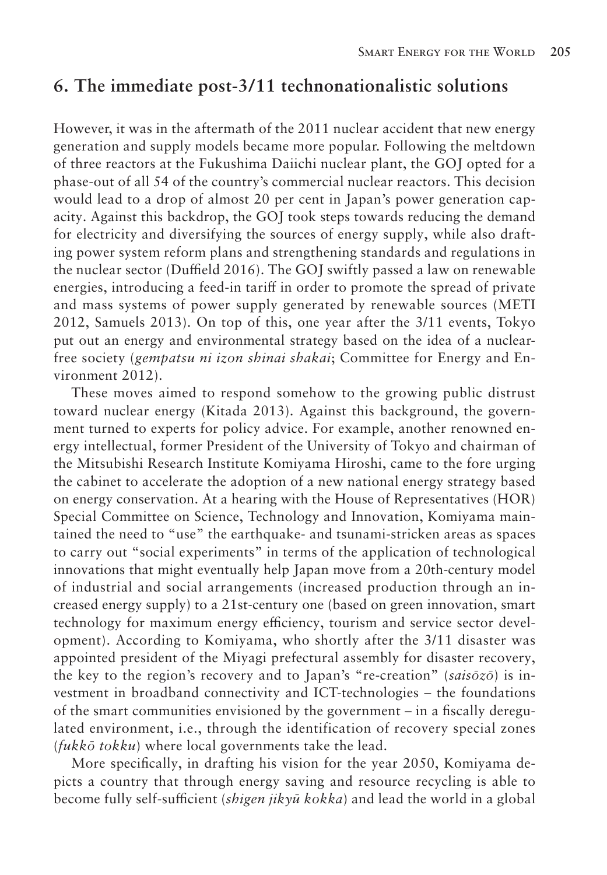#### **6. The immediate post-3/11 technonationalistic solutions**

However, it was in the aftermath of the 2011 nuclear accident that new energy generation and supply models became more popular. Following the meltdown of three reactors at the Fukushima Daiichi nuclear plant, the GOJ opted for a phase-out of all 54 of the country's commercial nuclear reactors. This decision would lead to a drop of almost 20 per cent in Japan's power generation capacity. Against this backdrop, the GOJ took steps towards reducing the demand for electricity and diversifying the sources of energy supply, while also drafting power system reform plans and strengthening standards and regulations in the nuclear sector (Duffield 2016). The GOJ swiftly passed a law on renewable energies, introducing a feed-in tariff in order to promote the spread of private and mass systems of power supply generated by renewable sources (METI 2012, Samuels 2013). On top of this, one year after the 3/11 events, Tokyo put out an energy and environmental strategy based on the idea of a nuclearfree society (*gempatsu ni izon shinai shakai*; Committee for Energy and Environment 2012).

These moves aimed to respond somehow to the growing public distrust toward nuclear energy (Kitada 2013). Against this background, the government turned to experts for policy advice. For example, another renowned energy intellectual, former President of the University of Tokyo and chairman of the Mitsubishi Research Institute Komiyama Hiroshi, came to the fore urging the cabinet to accelerate the adoption of a new national energy strategy based on energy conservation. At a hearing with the House of Representatives (HOR) Special Committee on Science, Technology and Innovation, Komiyama maintained the need to "use" the earthquake- and tsunami-stricken areas as spaces to carry out "social experiments" in terms of the application of technological innovations that might eventually help Japan move from a 20th-century model of industrial and social arrangements (increased production through an increased energy supply) to a 21st-century one (based on green innovation, smart technology for maximum energy efficiency, tourism and service sector development). According to Komiyama, who shortly after the 3/11 disaster was appointed president of the Miyagi prefectural assembly for disaster recovery, the key to the region's recovery and to Japan's "re-creation" (*saisōzō*) is investment in broadband connectivity and ICT-technologies – the foundations of the smart communities envisioned by the government – in a fiscally deregulated environment, i.e., through the identification of recovery special zones (*fukkō tokku*) where local governments take the lead.

More specifically, in drafting his vision for the year 2050, Komiyama depicts a country that through energy saving and resource recycling is able to become fully self-sufficient (*shigen jikyū kokka*) and lead the world in a global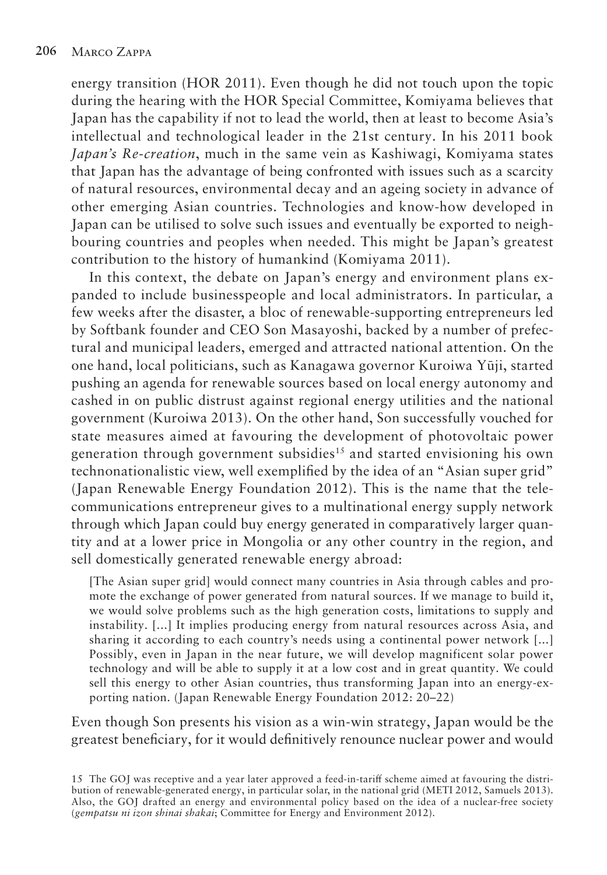energy transition (HOR 2011). Even though he did not touch upon the topic during the hearing with the HOR Special Committee, Komiyama believes that Japan has the capability if not to lead the world, then at least to become Asia's intellectual and technological leader in the 21st century. In his 2011 book *Japan's Re-creation*, much in the same vein as Kashiwagi, Komiyama states that Japan has the advantage of being confronted with issues such as a scarcity of natural resources, environmental decay and an ageing society in advance of other emerging Asian countries. Technologies and know-how developed in Japan can be utilised to solve such issues and eventually be exported to neighbouring countries and peoples when needed. This might be Japan's greatest contribution to the history of humankind (Komiyama 2011).

In this context, the debate on Japan's energy and environment plans expanded to include businesspeople and local administrators. In particular, a few weeks after the disaster, a bloc of renewable-supporting entrepreneurs led by Softbank founder and CEO Son Masayoshi, backed by a number of prefectural and municipal leaders, emerged and attracted national attention. On the one hand, local politicians, such as Kanagawa governor Kuroiwa Yūji, started pushing an agenda for renewable sources based on local energy autonomy and cashed in on public distrust against regional energy utilities and the national government (Kuroiwa 2013). On the other hand, Son successfully vouched for state measures aimed at favouring the development of photovoltaic power generation through government subsidies<sup>15</sup> and started envisioning his own technonationalistic view, well exemplified by the idea of an "Asian super grid" (Japan Renewable Energy Foundation 2012). This is the name that the telecommunications entrepreneur gives to a multinational energy supply network through which Japan could buy energy generated in comparatively larger quantity and at a lower price in Mongolia or any other country in the region, and sell domestically generated renewable energy abroad:

[The Asian super grid] would connect many countries in Asia through cables and promote the exchange of power generated from natural sources. If we manage to build it, we would solve problems such as the high generation costs, limitations to supply and instability. [...] It implies producing energy from natural resources across Asia, and sharing it according to each country's needs using a continental power network [...] Possibly, even in Japan in the near future, we will develop magnificent solar power technology and will be able to supply it at a low cost and in great quantity. We could sell this energy to other Asian countries, thus transforming Japan into an energy-exporting nation. (Japan Renewable Energy Foundation 2012: 20–22)

Even though Son presents his vision as a win-win strategy, Japan would be the greatest beneficiary, for it would definitively renounce nuclear power and would

15 The GOJ was receptive and a year later approved a feed-in-tariff scheme aimed at favouring the distribution of renewable-generated energy, in particular solar, in the national grid (METI 2012, Samuels 2013). Also, the GOJ drafted an energy and environmental policy based on the idea of a nuclear-free society (*gempatsu ni izon shinai shakai*; Committee for Energy and Environment 2012).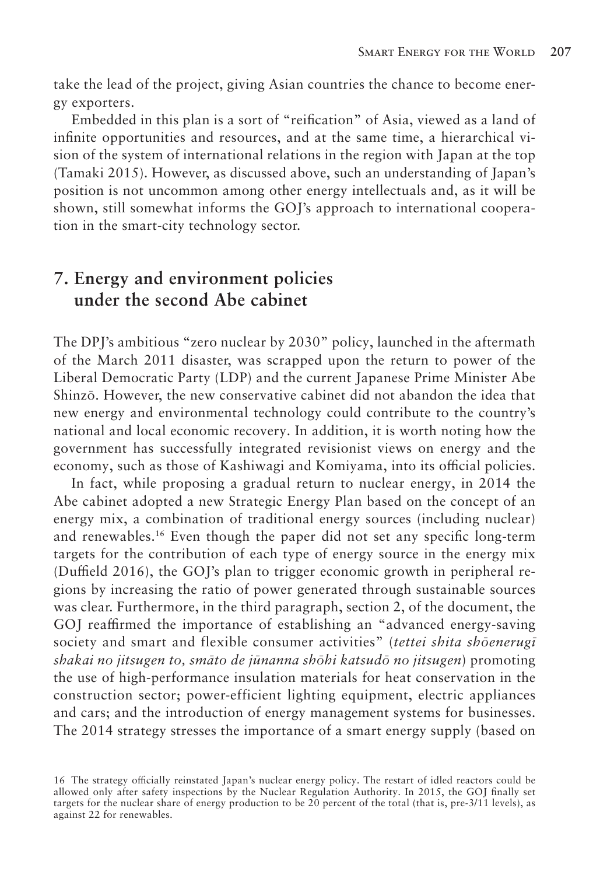take the lead of the project, giving Asian countries the chance to become energy exporters.

Embedded in this plan is a sort of "reification" of Asia, viewed as a land of infinite opportunities and resources, and at the same time, a hierarchical vision of the system of international relations in the region with Japan at the top (Tamaki 2015). However, as discussed above, such an understanding of Japan's position is not uncommon among other energy intellectuals and, as it will be shown, still somewhat informs the GOJ's approach to international cooperation in the smart-city technology sector.

# **7. Energy and environment policies under the second Abe cabinet**

The DPJ's ambitious "zero nuclear by 2030" policy, launched in the aftermath of the March 2011 disaster, was scrapped upon the return to power of the Liberal Democratic Party (LDP) and the current Japanese Prime Minister Abe Shinzō. However, the new conservative cabinet did not abandon the idea that new energy and environmental technology could contribute to the country's national and local economic recovery. In addition, it is worth noting how the government has successfully integrated revisionist views on energy and the economy, such as those of Kashiwagi and Komiyama, into its official policies.

In fact, while proposing a gradual return to nuclear energy, in 2014 the Abe cabinet adopted a new Strategic Energy Plan based on the concept of an energy mix, a combination of traditional energy sources (including nuclear) and renewables.16 Even though the paper did not set any specific long-term targets for the contribution of each type of energy source in the energy mix (Duffield 2016), the GOJ's plan to trigger economic growth in peripheral regions by increasing the ratio of power generated through sustainable sources was clear. Furthermore, in the third paragraph, section 2, of the document, the GOJ reaffirmed the importance of establishing an "advanced energy-saving society and smart and flexible consumer activities" (*tettei shita shōenerugī shakai no jitsugen to, smāto de jūnanna shōhi katsudō no jitsugen*) promoting the use of high-performance insulation materials for heat conservation in the construction sector; power-efficient lighting equipment, electric appliances and cars; and the introduction of energy management systems for businesses. The 2014 strategy stresses the importance of a smart energy supply (based on

<sup>16</sup> The strategy officially reinstated Japan's nuclear energy policy. The restart of idled reactors could be allowed only after safety inspections by the Nuclear Regulation Authority. In 2015, the GOJ finally set targets for the nuclear share of energy production to be 20 percent of the total (that is, pre-3/11 levels), as against 22 for renewables.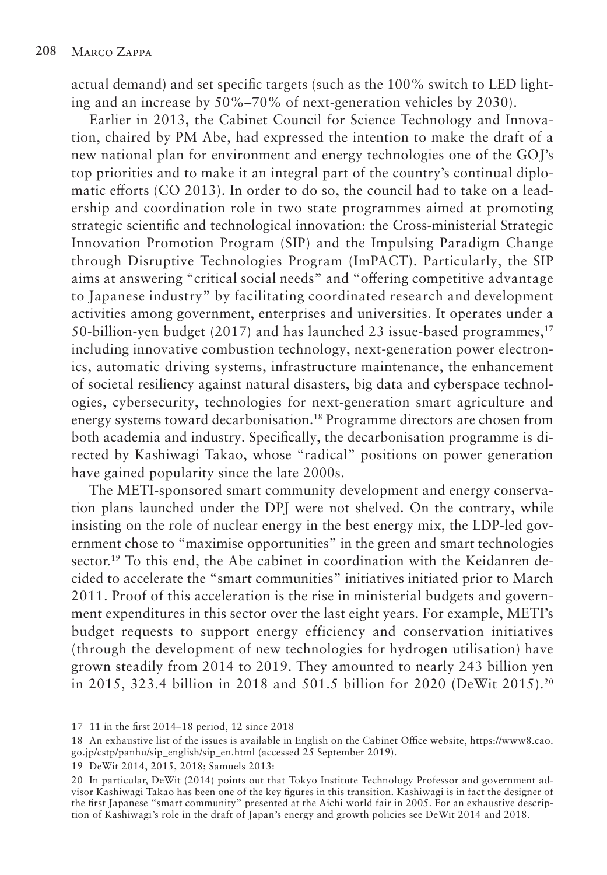actual demand) and set specific targets (such as the 100% switch to LED lighting and an increase by 50%–70% of next-generation vehicles by 2030).

Earlier in 2013, the Cabinet Council for Science Technology and Innovation, chaired by PM Abe, had expressed the intention to make the draft of a new national plan for environment and energy technologies one of the GOJ's top priorities and to make it an integral part of the country's continual diplomatic efforts (CO 2013). In order to do so, the council had to take on a leadership and coordination role in two state programmes aimed at promoting strategic scientific and technological innovation: the Cross-ministerial Strategic Innovation Promotion Program (SIP) and the Impulsing Paradigm Change through Disruptive Technologies Program (ImPACT). Particularly, the SIP aims at answering "critical social needs" and "offering competitive advantage to Japanese industry" by facilitating coordinated research and development activities among government, enterprises and universities. It operates under a 50-billion-yen budget (2017) and has launched 23 issue-based programmes,<sup>17</sup> including innovative combustion technology, next-generation power electronics, automatic driving systems, infrastructure maintenance, the enhancement of societal resiliency against natural disasters, big data and cyberspace technologies, cybersecurity, technologies for next-generation smart agriculture and energy systems toward decarbonisation.18 Programme directors are chosen from both academia and industry. Specifically, the decarbonisation programme is directed by Kashiwagi Takao, whose "radical" positions on power generation have gained popularity since the late 2000s.

The METI-sponsored smart community development and energy conservation plans launched under the DPJ were not shelved. On the contrary, while insisting on the role of nuclear energy in the best energy mix, the LDP-led government chose to "maximise opportunities" in the green and smart technologies sector.<sup>19</sup> To this end, the Abe cabinet in coordination with the Keidanren decided to accelerate the "smart communities" initiatives initiated prior to March 2011. Proof of this acceleration is the rise in ministerial budgets and government expenditures in this sector over the last eight years. For example, METI's budget requests to support energy efficiency and conservation initiatives (through the development of new technologies for hydrogen utilisation) have grown steadily from 2014 to 2019. They amounted to nearly 243 billion yen in 2015, 323.4 billion in 2018 and 501.5 billion for 2020 (DeWit 2015).20

19 DeWit 2014, 2015, 2018; Samuels 2013:

20 In particular, DeWit (2014) points out that Tokyo Institute Technology Professor and government advisor Kashiwagi Takao has been one of the key figures in this transition. Kashiwagi is in fact the designer of the first Japanese "smart community" presented at the Aichi world fair in 2005. For an exhaustive description of Kashiwagi's role in the draft of Japan's energy and growth policies see DeWit 2014 and 2018.

<sup>17</sup> 11 in the first 2014–18 period, 12 since 2018

<sup>18</sup> An exhaustive list of the issues is available in English on the Cabinet Office website, https://www8.cao. go.jp/cstp/panhu/sip\_english/sip\_en.html (accessed 25 September 2019).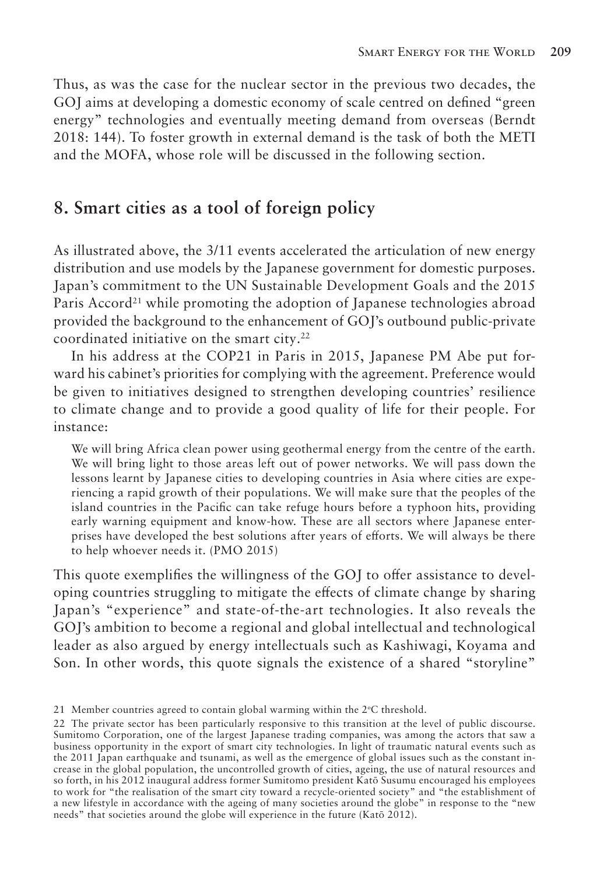Thus, as was the case for the nuclear sector in the previous two decades, the GOJ aims at developing a domestic economy of scale centred on defined "green energy" technologies and eventually meeting demand from overseas (Berndt 2018: 144). To foster growth in external demand is the task of both the METI and the MOFA, whose role will be discussed in the following section.

#### **8. Smart cities as a tool of foreign policy**

As illustrated above, the 3/11 events accelerated the articulation of new energy distribution and use models by the Japanese government for domestic purposes. Japan's commitment to the UN Sustainable Development Goals and the 2015 Paris Accord<sup>21</sup> while promoting the adoption of Japanese technologies abroad provided the background to the enhancement of GOJ's outbound public-private coordinated initiative on the smart city.<sup>22</sup>

In his address at the COP21 in Paris in 2015, Japanese PM Abe put forward his cabinet's priorities for complying with the agreement. Preference would be given to initiatives designed to strengthen developing countries' resilience to climate change and to provide a good quality of life for their people. For instance:

We will bring Africa clean power using geothermal energy from the centre of the earth. We will bring light to those areas left out of power networks. We will pass down the lessons learnt by Japanese cities to developing countries in Asia where cities are experiencing a rapid growth of their populations. We will make sure that the peoples of the island countries in the Pacific can take refuge hours before a typhoon hits, providing early warning equipment and know-how. These are all sectors where Japanese enterprises have developed the best solutions after years of efforts. We will always be there to help whoever needs it. (PMO 2015)

This quote exemplifies the willingness of the GOJ to offer assistance to developing countries struggling to mitigate the effects of climate change by sharing Japan's "experience" and state-of-the-art technologies. It also reveals the GOJ's ambition to become a regional and global intellectual and technological leader as also argued by energy intellectuals such as Kashiwagi, Koyama and Son. In other words, this quote signals the existence of a shared "storyline"

<sup>21</sup> Member countries agreed to contain global warming within the  $2^{\circ}C$  threshold.

<sup>22</sup> The private sector has been particularly responsive to this transition at the level of public discourse. Sumitomo Corporation, one of the largest Japanese trading companies, was among the actors that saw a business opportunity in the export of smart city technologies. In light of traumatic natural events such as the 2011 Japan earthquake and tsunami, as well as the emergence of global issues such as the constant increase in the global population, the uncontrolled growth of cities, ageing, the use of natural resources and so forth, in his 2012 inaugural address former Sumitomo president Katō Susumu encouraged his employees to work for "the realisation of the smart city toward a recycle-oriented society" and "the establishment of a new lifestyle in accordance with the ageing of many societies around the globe" in response to the "new needs" that societies around the globe will experience in the future (Katō 2012).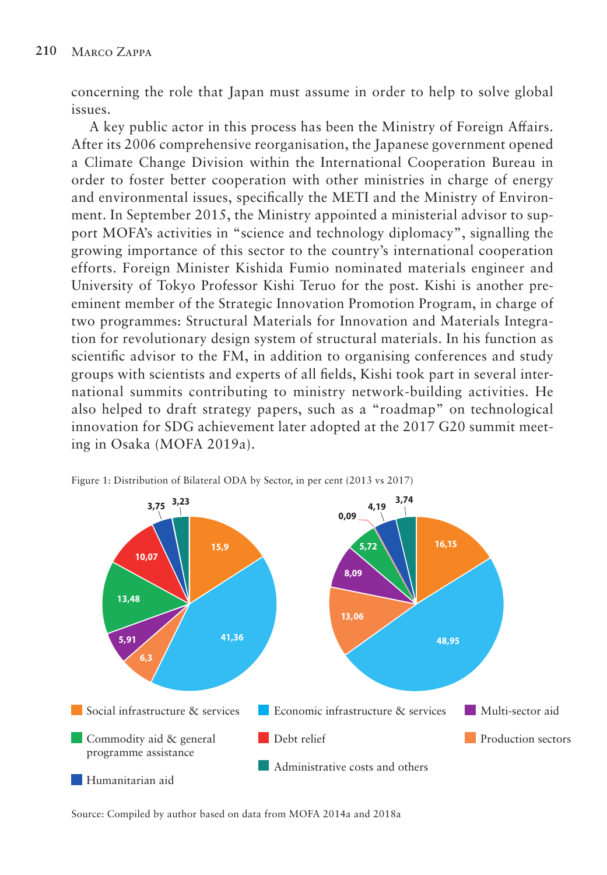concerning the role that Japan must assume in order to help to solve global issues.

A key public actor in this process has been the Ministry of Foreign Affairs. After its 2006 comprehensive reorganisation, the Japanese government opened a Climate Change Division within the International Cooperation Bureau in order to foster better cooperation with other ministries in charge of energy and environmental issues, specifically the METI and the Ministry of Environment. In September 2015, the Ministry appointed a ministerial advisor to support MOFA's activities in "science and technology diplomacy", signalling the growing importance of this sector to the country's international cooperation efforts. Foreign Minister Kishida Fumio nominated materials engineer and University of Tokyo Professor Kishi Teruo for the post. Kishi is another preeminent member of the Strategic Innovation Promotion Program, in charge of two programmes: Structural Materials for Innovation and Materials Integration for revolutionary design system of structural materials. In his function as scientific advisor to the FM, in addition to organising conferences and study groups with scientists and experts of all fields, Kishi took part in several international summits contributing to ministry network-building activities. He also helped to draft strategy papers, such as a "roadmap" on technological innovation for SDG achievement later adopted at the 2017 G20 summit meeting in Osaka (MOFA 2019a).



Figure 1: Distribution of Bilateral ODA by Sector, in per cent (2013 vs 2017)

Source: Compiled by author based on data from MOFA 2014a and 2018a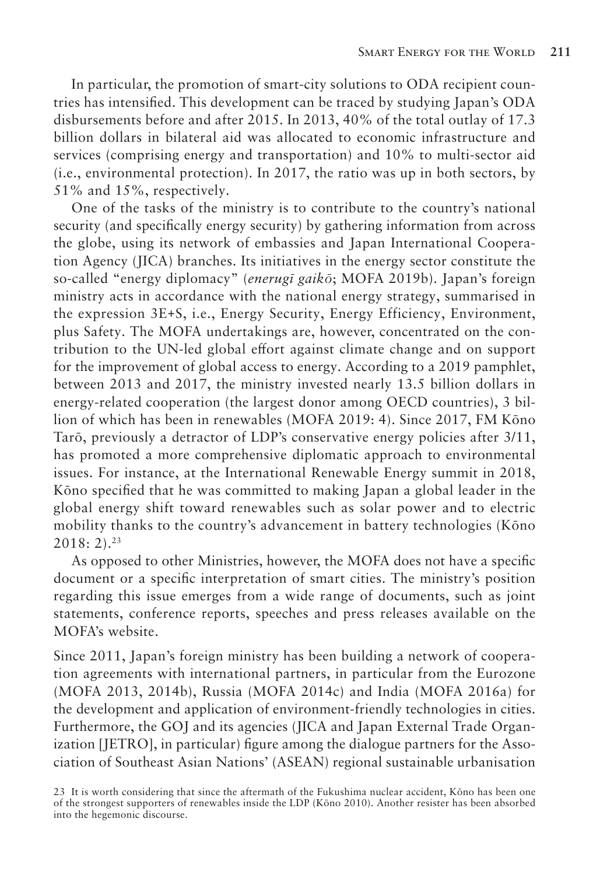In particular, the promotion of smart-city solutions to ODA recipient countries has intensified. This development can be traced by studying Japan's ODA disbursements before and after 2015. In 2013, 40% of the total outlay of 17.3 billion dollars in bilateral aid was allocated to economic infrastructure and services (comprising energy and transportation) and 10% to multi-sector aid (i.e., environmental protection). In 2017, the ratio was up in both sectors, by 51% and 15%, respectively.

One of the tasks of the ministry is to contribute to the country's national security (and specifically energy security) by gathering information from across the globe, using its network of embassies and Japan International Cooperation Agency (JICA) branches. Its initiatives in the energy sector constitute the so-called "energy diplomacy" (*enerugī gaikō*; MOFA 2019b). Japan's foreign ministry acts in accordance with the national energy strategy, summarised in the expression 3E+S, i.e., Energy Security, Energy Efficiency, Environment, plus Safety. The MOFA undertakings are, however, concentrated on the contribution to the UN-led global effort against climate change and on support for the improvement of global access to energy. According to a 2019 pamphlet, between 2013 and 2017, the ministry invested nearly 13.5 billion dollars in energy-related cooperation (the largest donor among OECD countries), 3 billion of which has been in renewables (MOFA 2019: 4). Since 2017, FM Kōno Tarō, previously a detractor of LDP's conservative energy policies after 3/11, has promoted a more comprehensive diplomatic approach to environmental issues. For instance, at the International Renewable Energy summit in 2018, Kōno specified that he was committed to making Japan a global leader in the global energy shift toward renewables such as solar power and to electric mobility thanks to the country's advancement in battery technologies (Kōno  $2018: 2).^{23}$ 

As opposed to other Ministries, however, the MOFA does not have a specific document or a specific interpretation of smart cities. The ministry's position regarding this issue emerges from a wide range of documents, such as joint statements, conference reports, speeches and press releases available on the MOFA's website.

Since 2011, Japan's foreign ministry has been building a network of cooperation agreements with international partners, in particular from the Eurozone (MOFA 2013, 2014b), Russia (MOFA 2014c) and India (MOFA 2016a) for the development and application of environment-friendly technologies in cities. Furthermore, the GOJ and its agencies (JICA and Japan External Trade Organization [JETRO], in particular) figure among the dialogue partners for the Association of Southeast Asian Nations' (ASEAN) regional sustainable urbanisation

23 It is worth considering that since the aftermath of the Fukushima nuclear accident, Kōno has been one of the strongest supporters of renewables inside the LDP (Kōno 2010). Another resister has been absorbed into the hegemonic discourse.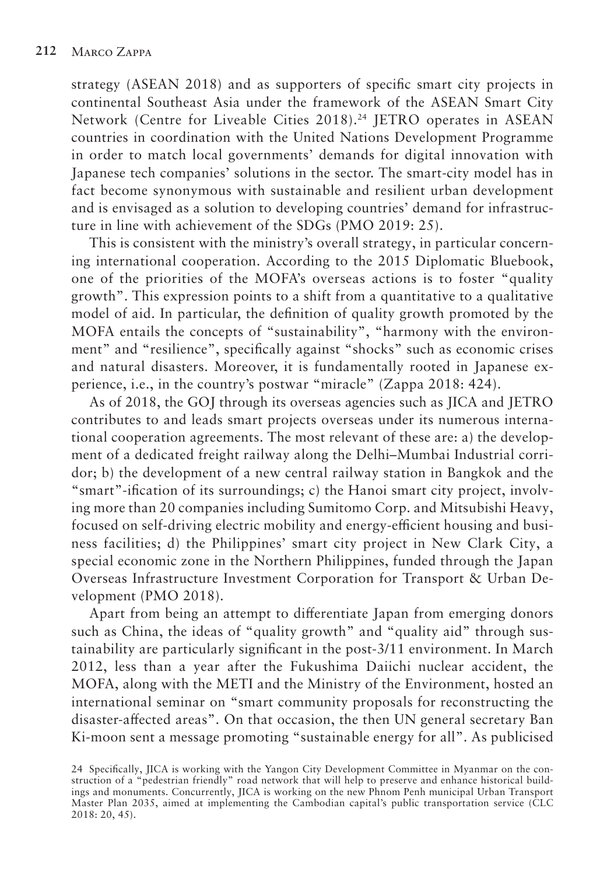strategy (ASEAN 2018) and as supporters of specific smart city projects in continental Southeast Asia under the framework of the ASEAN Smart City Network (Centre for Liveable Cities 2018).24 JETRO operates in ASEAN countries in coordination with the United Nations Development Programme in order to match local governments' demands for digital innovation with Japanese tech companies' solutions in the sector. The smart-city model has in fact become synonymous with sustainable and resilient urban development and is envisaged as a solution to developing countries' demand for infrastructure in line with achievement of the SDGs (PMO 2019: 25).

This is consistent with the ministry's overall strategy, in particular concerning international cooperation. According to the 2015 Diplomatic Bluebook, one of the priorities of the MOFA's overseas actions is to foster "quality growth". This expression points to a shift from a quantitative to a qualitative model of aid. In particular, the definition of quality growth promoted by the MOFA entails the concepts of "sustainability", "harmony with the environment" and "resilience", specifically against "shocks" such as economic crises and natural disasters. Moreover, it is fundamentally rooted in Japanese experience, i.e., in the country's postwar "miracle" (Zappa 2018: 424).

As of 2018, the GOJ through its overseas agencies such as JICA and JETRO contributes to and leads smart projects overseas under its numerous international cooperation agreements. The most relevant of these are: a) the development of a dedicated freight railway along the Delhi–Mumbai Industrial corridor; b) the development of a new central railway station in Bangkok and the "smart"-ification of its surroundings; c) the Hanoi smart city project, involving more than 20 companies including Sumitomo Corp. and Mitsubishi Heavy, focused on self-driving electric mobility and energy-efficient housing and business facilities; d) the Philippines' smart city project in New Clark City, a special economic zone in the Northern Philippines, funded through the Japan Overseas Infrastructure Investment Corporation for Transport & Urban Development (PMO 2018).

Apart from being an attempt to differentiate Japan from emerging donors such as China, the ideas of "quality growth" and "quality aid" through sustainability are particularly significant in the post-3/11 environment. In March 2012, less than a year after the Fukushima Daiichi nuclear accident, the MOFA, along with the METI and the Ministry of the Environment, hosted an international seminar on "smart community proposals for reconstructing the disaster-affected areas". On that occasion, the then UN general secretary Ban Ki-moon sent a message promoting "sustainable energy for all". As publicised

<sup>24</sup> Specifically, JICA is working with the Yangon City Development Committee in Myanmar on the construction of a "pedestrian friendly" road network that will help to preserve and enhance historical buildings and monuments. Concurrently, JICA is working on the new Phnom Penh municipal Urban Transport Master Plan 2035, aimed at implementing the Cambodian capital's public transportation service (CLC 2018: 20, 45).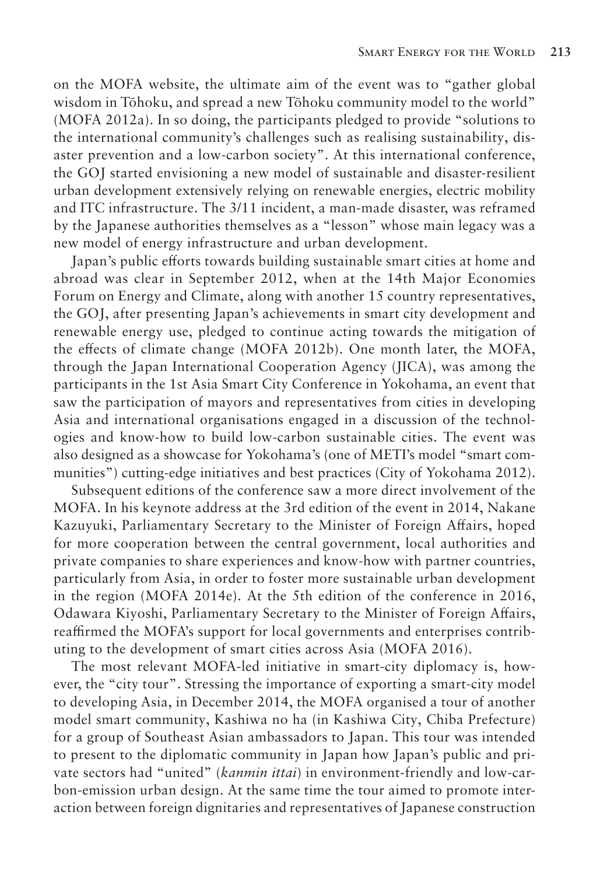on the MOFA website, the ultimate aim of the event was to "gather global wisdom in Tōhoku, and spread a new Tōhoku community model to the world" (MOFA 2012a). In so doing, the participants pledged to provide "solutions to the international community's challenges such as realising sustainability, disaster prevention and a low-carbon society". At this international conference, the GOJ started envisioning a new model of sustainable and disaster-resilient urban development extensively relying on renewable energies, electric mobility and ITC infrastructure. The 3/11 incident, a man-made disaster, was reframed by the Japanese authorities themselves as a "lesson" whose main legacy was a new model of energy infrastructure and urban development.

Japan's public efforts towards building sustainable smart cities at home and abroad was clear in September 2012, when at the 14th Major Economies Forum on Energy and Climate, along with another 15 country representatives, the GOJ, after presenting Japan's achievements in smart city development and renewable energy use, pledged to continue acting towards the mitigation of the effects of climate change (MOFA 2012b). One month later, the MOFA, through the Japan International Cooperation Agency (JICA), was among the participants in the 1st Asia Smart City Conference in Yokohama, an event that saw the participation of mayors and representatives from cities in developing Asia and international organisations engaged in a discussion of the technologies and know-how to build low-carbon sustainable cities. The event was also designed as a showcase for Yokohama's (one of METI's model "smart communities") cutting-edge initiatives and best practices (City of Yokohama 2012).

Subsequent editions of the conference saw a more direct involvement of the MOFA. In his keynote address at the 3rd edition of the event in 2014, Nakane Kazuyuki, Parliamentary Secretary to the Minister of Foreign Affairs, hoped for more cooperation between the central government, local authorities and private companies to share experiences and know-how with partner countries, particularly from Asia, in order to foster more sustainable urban development in the region (MOFA 2014e). At the 5th edition of the conference in 2016, Odawara Kiyoshi, Parliamentary Secretary to the Minister of Foreign Affairs, reaffirmed the MOFA's support for local governments and enterprises contributing to the development of smart cities across Asia (MOFA 2016).

The most relevant MOFA-led initiative in smart-city diplomacy is, however, the "city tour". Stressing the importance of exporting a smart-city model to developing Asia, in December 2014, the MOFA organised a tour of another model smart community, Kashiwa no ha (in Kashiwa City, Chiba Prefecture) for a group of Southeast Asian ambassadors to Japan. This tour was intended to present to the diplomatic community in Japan how Japan's public and private sectors had "united" (*kanmin ittai*) in environment-friendly and low-carbon-emission urban design. At the same time the tour aimed to promote interaction between foreign dignitaries and representatives of Japanese construction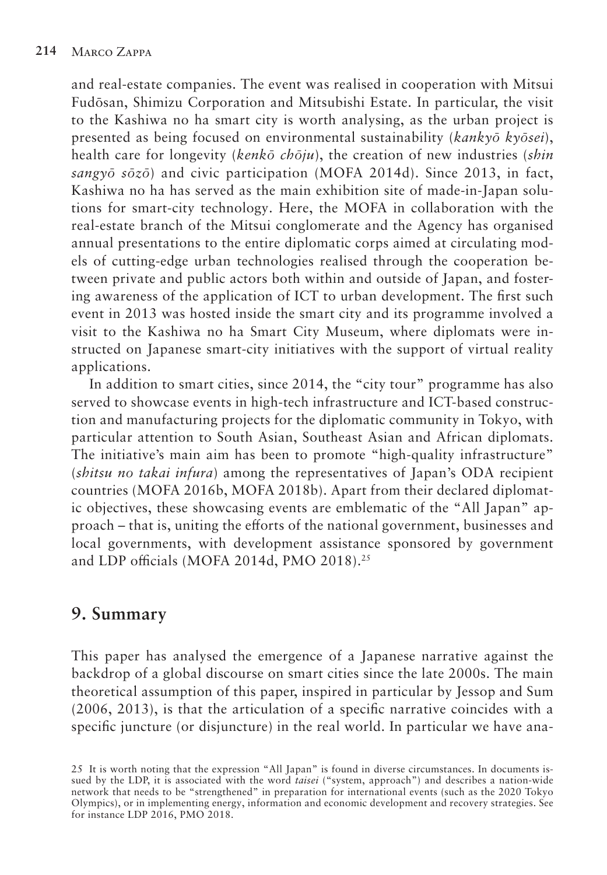and real-estate companies. The event was realised in cooperation with Mitsui Fudōsan, Shimizu Corporation and Mitsubishi Estate. In particular, the visit to the Kashiwa no ha smart city is worth analysing, as the urban project is presented as being focused on environmental sustainability (*kankyō kyōsei*), health care for longevity (*kenkō chōju*), the creation of new industries (*shin sangyō sōzō*) and civic participation (MOFA 2014d). Since 2013, in fact, Kashiwa no ha has served as the main exhibition site of made-in-Japan solutions for smart-city technology. Here, the MOFA in collaboration with the real-estate branch of the Mitsui conglomerate and the Agency has organised annual presentations to the entire diplomatic corps aimed at circulating models of cutting-edge urban technologies realised through the cooperation between private and public actors both within and outside of Japan, and fostering awareness of the application of ICT to urban development. The first such event in 2013 was hosted inside the smart city and its programme involved a visit to the Kashiwa no ha Smart City Museum, where diplomats were instructed on Japanese smart-city initiatives with the support of virtual reality applications.

In addition to smart cities, since 2014, the "city tour" programme has also served to showcase events in high-tech infrastructure and ICT-based construction and manufacturing projects for the diplomatic community in Tokyo, with particular attention to South Asian, Southeast Asian and African diplomats. The initiative's main aim has been to promote "high-quality infrastructure" (*shitsu no takai infura*) among the representatives of Japan's ODA recipient countries (MOFA 2016b, MOFA 2018b). Apart from their declared diplomatic objectives, these showcasing events are emblematic of the "All Japan" approach – that is, uniting the efforts of the national government, businesses and local governments, with development assistance sponsored by government and LDP officials (MOFA 2014d, PMO 2018).<sup>25</sup>

# **9. Summary**

This paper has analysed the emergence of a Japanese narrative against the backdrop of a global discourse on smart cities since the late 2000s. The main theoretical assumption of this paper, inspired in particular by Jessop and Sum (2006, 2013), is that the articulation of a specific narrative coincides with a specific juncture (or disjuncture) in the real world. In particular we have ana-

<sup>25</sup> It is worth noting that the expression "All Japan" is found in diverse circumstances. In documents issued by the LDP, it is associated with the word *taisei* ("system, approach") and describes a nation-wide network that needs to be "strengthened" in preparation for international events (such as the 2020 Tokyo Olympics), or in implementing energy, information and economic development and recovery strategies. See for instance LDP 2016, PMO 2018.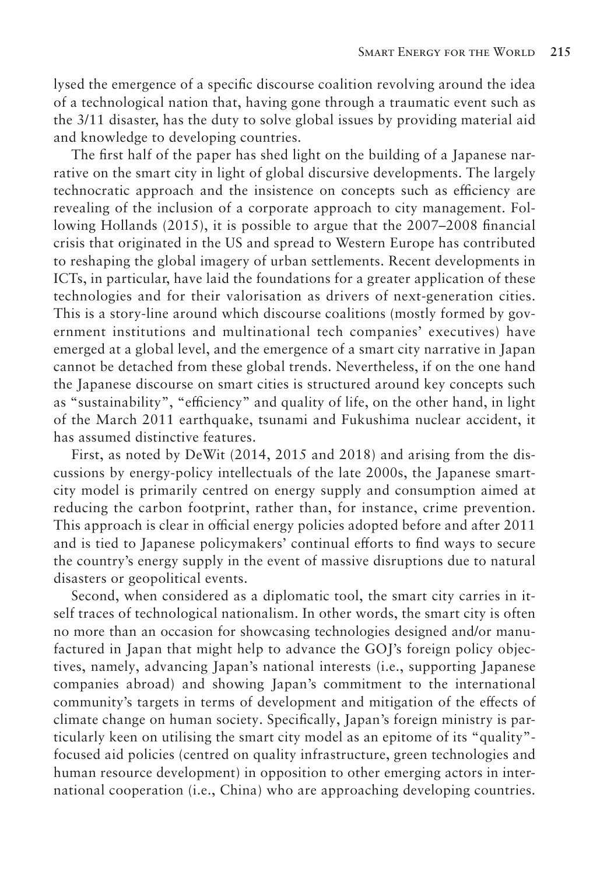lysed the emergence of a specific discourse coalition revolving around the idea of a technological nation that, having gone through a traumatic event such as the 3/11 disaster, has the duty to solve global issues by providing material aid and knowledge to developing countries.

The first half of the paper has shed light on the building of a Japanese narrative on the smart city in light of global discursive developments. The largely technocratic approach and the insistence on concepts such as efficiency are revealing of the inclusion of a corporate approach to city management. Following Hollands (2015), it is possible to argue that the 2007–2008 financial crisis that originated in the US and spread to Western Europe has contributed to reshaping the global imagery of urban settlements. Recent developments in ICTs, in particular, have laid the foundations for a greater application of these technologies and for their valorisation as drivers of next-generation cities. This is a story-line around which discourse coalitions (mostly formed by government institutions and multinational tech companies' executives) have emerged at a global level, and the emergence of a smart city narrative in Japan cannot be detached from these global trends. Nevertheless, if on the one hand the Japanese discourse on smart cities is structured around key concepts such as "sustainability", "efficiency" and quality of life, on the other hand, in light of the March 2011 earthquake, tsunami and Fukushima nuclear accident, it has assumed distinctive features.

First, as noted by DeWit (2014, 2015 and 2018) and arising from the discussions by energy-policy intellectuals of the late 2000s, the Japanese smartcity model is primarily centred on energy supply and consumption aimed at reducing the carbon footprint, rather than, for instance, crime prevention. This approach is clear in official energy policies adopted before and after 2011 and is tied to Japanese policymakers' continual efforts to find ways to secure the country's energy supply in the event of massive disruptions due to natural disasters or geopolitical events.

Second, when considered as a diplomatic tool, the smart city carries in itself traces of technological nationalism. In other words, the smart city is often no more than an occasion for showcasing technologies designed and/or manufactured in Japan that might help to advance the GOJ's foreign policy objectives, namely, advancing Japan's national interests (i.e., supporting Japanese companies abroad) and showing Japan's commitment to the international community's targets in terms of development and mitigation of the effects of climate change on human society. Specifically, Japan's foreign ministry is particularly keen on utilising the smart city model as an epitome of its "quality" focused aid policies (centred on quality infrastructure, green technologies and human resource development) in opposition to other emerging actors in international cooperation (i.e., China) who are approaching developing countries.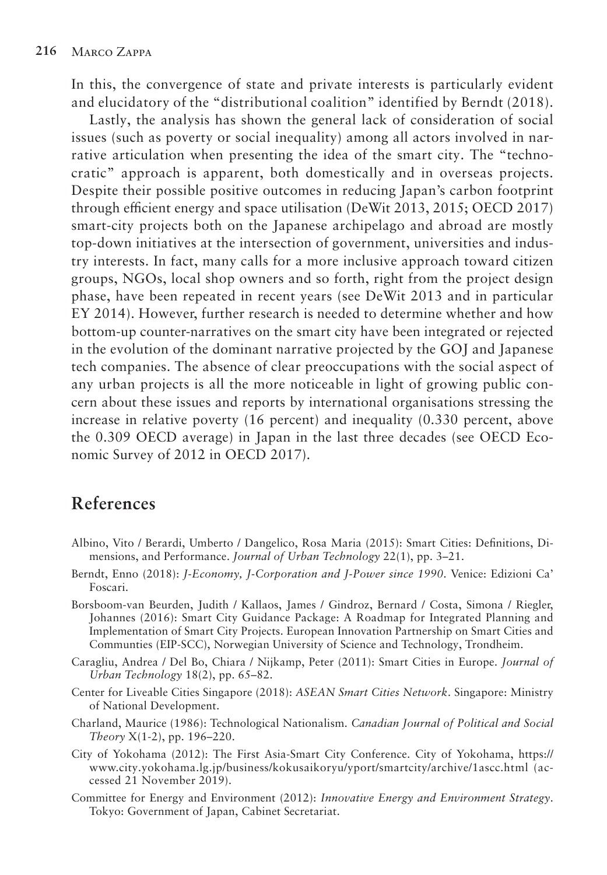In this, the convergence of state and private interests is particularly evident and elucidatory of the "distributional coalition" identified by Berndt (2018).

Lastly, the analysis has shown the general lack of consideration of social issues (such as poverty or social inequality) among all actors involved in narrative articulation when presenting the idea of the smart city. The "technocratic" approach is apparent, both domestically and in overseas projects. Despite their possible positive outcomes in reducing Japan's carbon footprint through efficient energy and space utilisation (DeWit 2013, 2015; OECD 2017) smart-city projects both on the Japanese archipelago and abroad are mostly top-down initiatives at the intersection of government, universities and industry interests. In fact, many calls for a more inclusive approach toward citizen groups, NGOs, local shop owners and so forth, right from the project design phase, have been repeated in recent years (see DeWit 2013 and in particular EY 2014). However, further research is needed to determine whether and how bottom-up counter-narratives on the smart city have been integrated or rejected in the evolution of the dominant narrative projected by the GOJ and Japanese tech companies. The absence of clear preoccupations with the social aspect of any urban projects is all the more noticeable in light of growing public concern about these issues and reports by international organisations stressing the increase in relative poverty (16 percent) and inequality (0.330 percent, above the 0.309 OECD average) in Japan in the last three decades (see OECD Economic Survey of 2012 in OECD 2017).

## **References**

- Albino, Vito / Berardi, Umberto / Dangelico, Rosa Maria (2015): Smart Cities: Definitions, Dimensions, and Performance. *Journal of Urban Technology* 22(1), pp. 3–21.
- Berndt, Enno (2018): *J-Economy, J-Corporation and J-Power since 1990*. Venice: Edizioni Ca' Foscari.
- Borsboom-van Beurden, Judith / Kallaos, James / Gindroz, Bernard / Costa, Simona / Riegler, Johannes (2016): Smart City Guidance Package: A Roadmap for Integrated Planning and Implementation of Smart City Projects. European Innovation Partnership on Smart Cities and Communties (EIP-SCC), Norwegian University of Science and Technology, Trondheim.
- Caragliu, Andrea / Del Bo, Chiara / Nijkamp, Peter (2011): Smart Cities in Europe. *Journal of Urban Technology* 18(2), pp. 65–82.
- Center for Liveable Cities Singapore (2018): *ASEAN Smart Cities Network*. Singapore: Ministry of National Development.
- Charland, Maurice (1986): Technological Nationalism. *Canadian Journal of Political and Social Theory* X(1-2), pp. 196–220.
- City of Yokohama (2012): The First Asia-Smart City Conference. City of Yokohama, https:// www.city.yokohama.lg.jp/business/kokusaikoryu/yport/smartcity/archive/1ascc.html (accessed 21 November 2019).
- Committee for Energy and Environment (2012): *Innovative Energy and Environment Strategy*. Tokyo: Government of Japan, Cabinet Secretariat.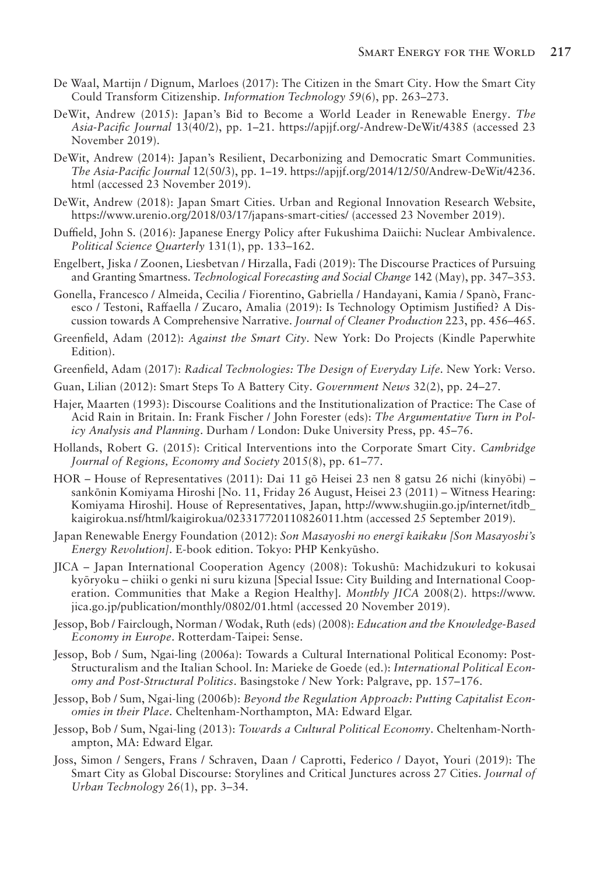- De Waal, Martijn / Dignum, Marloes (2017): The Citizen in the Smart City. How the Smart City Could Transform Citizenship. *Information Technology* 59(6), pp. 263–273.
- DeWit, Andrew (2015): Japan's Bid to Become a World Leader in Renewable Energy. *The Asia-Pacific Journal* 13(40/2), pp. 1–21. https://apjjf.org/-Andrew-DeWit/4385 (accessed 23 November 2019).
- DeWit, Andrew (2014): Japan's Resilient, Decarbonizing and Democratic Smart Communities. *The Asia-Pacific Journal* 12(50/3), pp. 1–19. https://apjjf.org/2014/12/50/Andrew-DeWit/4236. html (accessed 23 November 2019).
- DeWit, Andrew (2018): Japan Smart Cities. Urban and Regional Innovation Research Website, https://www.urenio.org/2018/03/17/japans-smart-cities/ (accessed 23 November 2019).
- Duffield, John S. (2016): Japanese Energy Policy after Fukushima Daiichi: Nuclear Ambivalence. *Political Science Quarterly* 131(1), pp. 133–162.
- Engelbert, Jiska / Zoonen, Liesbetvan / Hirzalla, Fadi (2019): The Discourse Practices of Pursuing and Granting Smartness. *Technological Forecasting and Social Change* 142 (May), pp. 347–353.
- Gonella, Francesco / Almeida, Cecilia / Fiorentino, Gabriella / Handayani, Kamia / Spanò, Francesco / Testoni, Raffaella / Zucaro, Amalia (2019): Is Technology Optimism Justified? A Discussion towards A Comprehensive Narrative. *Journal of Cleaner Production* 223, pp. 456–465.
- Greenfield, Adam (2012): *Against the Smart City*. New York: Do Projects (Kindle Paperwhite Edition).
- Greenfield, Adam (2017): *Radical Technologies: The Design of Everyday Life*. New York: Verso.
- Guan, Lilian (2012): Smart Steps To A Battery City. *Government News* 32(2), pp. 24–27.
- Hajer, Maarten (1993): Discourse Coalitions and the Institutionalization of Practice: The Case of Acid Rain in Britain. In: Frank Fischer / John Forester (eds): *The Argumentative Turn in Policy Analysis and Planning*. Durham / London: Duke University Press, pp. 45–76.
- Hollands, Robert G. (2015): Critical Interventions into the Corporate Smart City. *Cambridge Journal of Regions, Economy and Society* 2015(8), pp. 61–77.
- HOR House of Representatives (2011): Dai 11 gō Heisei 23 nen 8 gatsu 26 nichi (kinyōbi) sankōnin Komiyama Hiroshi [No. 11, Friday 26 August, Heisei 23 (2011) – Witness Hearing: Komiyama Hiroshi]. House of Representatives, Japan, http://www.shugiin.go.jp/internet/itdb\_ kaigirokua.nsf/html/kaigirokua/023317720110826011.htm (accessed 25 September 2019).
- Japan Renewable Energy Foundation (2012): *Son Masayoshi no energī kaikaku [Son Masayoshi's Energy Revolution]*. E-book edition. Tokyo: PHP Kenkyūsho.
- JICA Japan International Cooperation Agency (2008): Tokushū: Machidzukuri to kokusai kyōryoku – chiiki o genki ni suru kizuna [Special Issue: City Building and International Cooperation. Communities that Make a Region Healthy]. *Monthly JICA* 2008(2). https://www. jica.go.jp/publication/monthly/0802/01.html (accessed 20 November 2019).
- Jessop, Bob / Fairclough, Norman / Wodak, Ruth (eds) (2008): *Education and the Knowledge-Based Economy in Europe*. Rotterdam-Taipei: Sense.
- Jessop, Bob / Sum, Ngai-ling (2006a): Towards a Cultural International Political Economy: Post-Structuralism and the Italian School. In: Marieke de Goede (ed.): *International Political Economy and Post-Structural Politics*. Basingstoke / New York: Palgrave, pp. 157–176.
- Jessop, Bob / Sum, Ngai-ling (2006b): *Beyond the Regulation Approach: Putting Capitalist Economies in their Place*. Cheltenham-Northampton, MA: Edward Elgar.
- Jessop, Bob / Sum, Ngai-ling (2013): *Towards a Cultural Political Economy*. Cheltenham-Northampton, MA: Edward Elgar.
- Joss, Simon / Sengers, Frans / Schraven, Daan / Caprotti, Federico / Dayot, Youri (2019): The Smart City as Global Discourse: Storylines and Critical Junctures across 27 Cities. *Journal of Urban Technology* 26(1), pp. 3–34.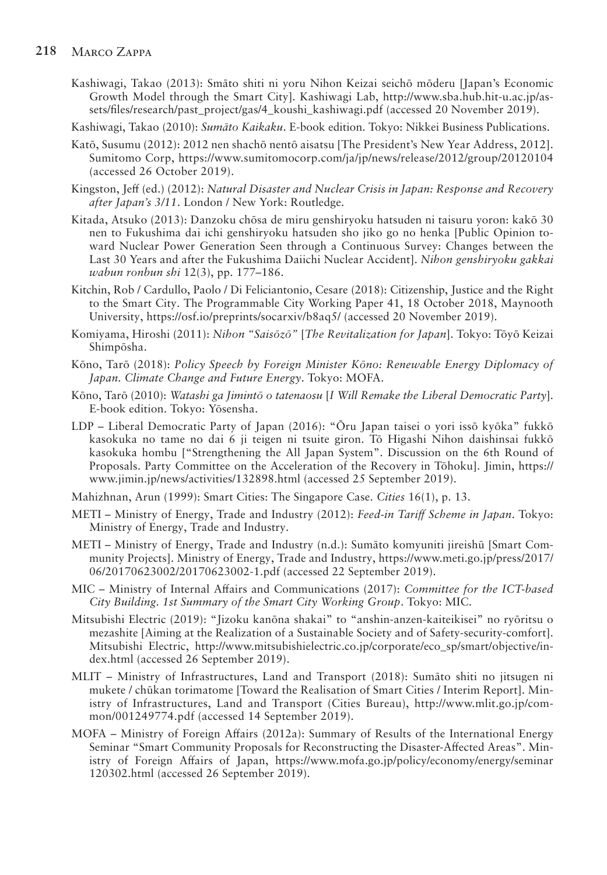#### **218** Marco Zappa

- Kashiwagi, Takao (2013): Smāto shiti ni yoru Nihon Keizai seichō mōderu [Japan's Economic Growth Model through the Smart City]. Kashiwagi Lab, http://www.sba.hub.hit-u.ac.jp/assets/files/research/past\_project/gas/4\_koushi\_kashiwagi.pdf (accessed 20 November 2019).
- Kashiwagi, Takao (2010): *Sumāto Kaikaku*. E-book edition. Tokyo: Nikkei Business Publications.
- Katō, Susumu (2012): 2012 nen shachō nentō aisatsu [The President's New Year Address, 2012]. Sumitomo Corp, https://www.sumitomocorp.com/ja/jp/news/release/2012/group/20120104 (accessed 26 October 2019).
- Kingston, Jeff (ed.) (2012): *Natural Disaster and Nuclear Crisis in Japan: Response and Recovery after Japan's 3/11*. London / New York: Routledge.
- Kitada, Atsuko (2013): Danzoku chōsa de miru genshiryoku hatsuden ni taisuru yoron: kakō 30 nen to Fukushima dai ichi genshiryoku hatsuden sho jiko go no henka [Public Opinion toward Nuclear Power Generation Seen through a Continuous Survey: Changes between the Last 30 Years and after the Fukushima Daiichi Nuclear Accident]. *Nihon genshiryoku gakkai wabun ronbun shi* 12(3), pp. 177–186.
- Kitchin, Rob / Cardullo, Paolo / Di Feliciantonio, Cesare (2018): Citizenship, Justice and the Right to the Smart City. The Programmable City Working Paper 41, 18 October 2018, Maynooth University, https://osf.io/preprints/socarxiv/b8aq5/ (accessed 20 November 2019).
- Komiyama, Hiroshi (2011): *Nihon "Saisōzō"* [*The Revitalization for Japan*]. Tokyo: Tōyō Keizai Shimpōsha.
- Kōno, Tarō (2018): *Policy Speech by Foreign Minister Kōno: Renewable Energy Diplomacy of Japan. Climate Change and Future Energy*. Tokyo: MOFA.
- Kōno, Tarō (2010): *Watashi ga Jimintō o tatenaosu* [*I Will Remake the Liberal Democratic Party*]. E-book edition. Tokyo: Yōsensha.
- LDP Liberal Democratic Party of Japan (2016): "Ōru Japan taisei o yori issō kyōka" fukkō kasokuka no tame no dai 6 ji teigen ni tsuite giron. Tō Higashi Nihon daishinsai fukkō kasokuka hombu ["Strengthening the All Japan System". Discussion on the 6th Round of Proposals. Party Committee on the Acceleration of the Recovery in Tōhoku]. Jimin, https:// www.jimin.jp/news/activities/132898.html (accessed 25 September 2019).
- Mahizhnan, Arun (1999): Smart Cities: The Singapore Case. *Cities* 16(1), p. 13.
- METI Ministry of Energy, Trade and Industry (2012): *Feed-in Tariff Scheme in Japan*. Tokyo: Ministry of Energy, Trade and Industry.
- METI Ministry of Energy, Trade and Industry (n.d.): Sumāto komyuniti jireishū [Smart Community Projects]. Ministry of Energy, Trade and Industry, https://www.meti.go.jp/press/2017/ 06/20170623002/20170623002-1.pdf (accessed 22 September 2019).
- MIC Ministry of Internal Affairs and Communications (2017): *Committee for the ICT-based City Building. 1st Summary of the Smart City Working Group*. Tokyo: MIC.
- Mitsubishi Electric (2019): "Jizoku kanōna shakai" to "anshin-anzen-kaiteikisei" no ryōritsu o mezashite [Aiming at the Realization of a Sustainable Society and of Safety-security-comfort]. Mitsubishi Electric, http://www.mitsubishielectric.co.jp/corporate/eco\_sp/smart/objective/index.html (accessed 26 September 2019).
- MLIT Ministry of Infrastructures, Land and Transport (2018): Sumāto shiti no jitsugen ni mukete / chūkan torimatome [Toward the Realisation of Smart Cities / Interim Report]. Ministry of Infrastructures, Land and Transport (Cities Bureau), http://www.mlit.go.jp/common/001249774.pdf (accessed 14 September 2019).
- MOFA Ministry of Foreign Affairs (2012a): Summary of Results of the International Energy Seminar "Smart Community Proposals for Reconstructing the Disaster-Affected Areas". Ministry of Foreign Affairs of Japan, https://www.mofa.go.jp/policy/economy/energy/seminar 120302.html (accessed 26 September 2019).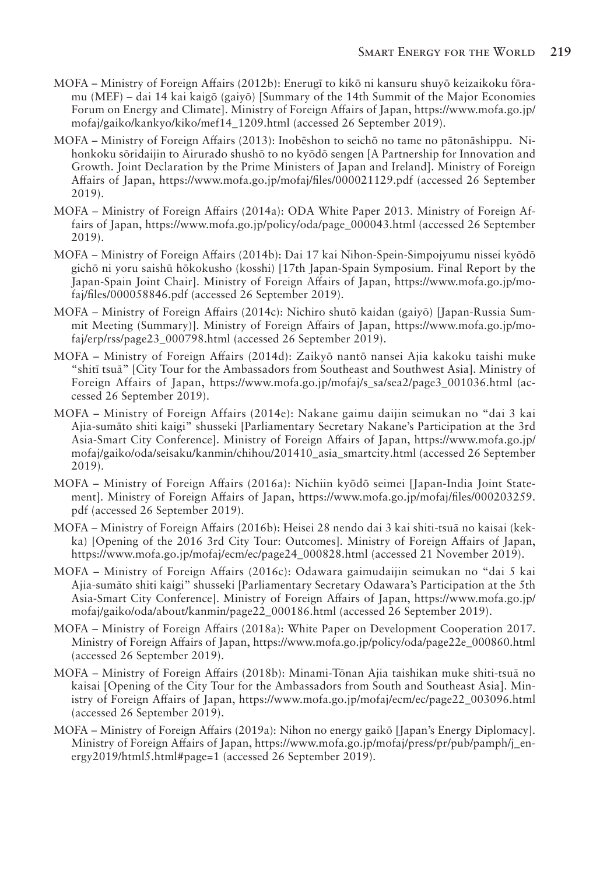- MOFA Ministry of Foreign Affairs (2012b): Enerugī to kikō ni kansuru shuyō keizaikoku fōramu (MEF) – dai 14 kai kaigō (gaiyō) [Summary of the 14th Summit of the Major Economies Forum on Energy and Climate]. Ministry of Foreign Affairs of Japan, https://www.mofa.go.jp/ mofaj/gaiko/kankyo/kiko/mef14\_1209.html (accessed 26 September 2019).
- MOFA Ministry of Foreign Affairs (2013): Inobēshon to seichō no tame no pātonāshippu. Nihonkoku sōridaijin to Airurado shushō to no kyōdō sengen [A Partnership for Innovation and Growth. Joint Declaration by the Prime Ministers of Japan and Ireland]. Ministry of Foreign Affairs of Japan, https://www.mofa.go.jp/mofaj/files/000021129.pdf (accessed 26 September 2019).
- MOFA Ministry of Foreign Affairs (2014a): ODA White Paper 2013. Ministry of Foreign Affairs of Japan, https://www.mofa.go.jp/policy/oda/page\_000043.html (accessed 26 September 2019).
- MOFA Ministry of Foreign Affairs (2014b): Dai 17 kai Nihon-Spein-Simpojyumu nissei kyōdō gichō ni yoru saishū hōkokusho (kosshi) [17th Japan-Spain Symposium. Final Report by the Japan-Spain Joint Chair]. Ministry of Foreign Affairs of Japan, https://www.mofa.go.jp/mofaj/files/000058846.pdf (accessed 26 September 2019).
- MOFA Ministry of Foreign Affairs (2014c): Nichiro shutō kaidan (gaiyō) [Japan-Russia Summit Meeting (Summary)]. Ministry of Foreign Affairs of Japan, https://www.mofa.go.jp/mofaj/erp/rss/page23\_000798.html (accessed 26 September 2019).
- MOFA Ministry of Foreign Affairs (2014d): Zaikyō nantō nansei Ajia kakoku taishi muke "shitī tsuā" [City Tour for the Ambassadors from Southeast and Southwest Asia]. Ministry of Foreign Affairs of Japan, https://www.mofa.go.jp/mofaj/s\_sa/sea2/page3\_001036.html (accessed 26 September 2019).
- MOFA Ministry of Foreign Affairs (2014e): Nakane gaimu daijin seimukan no "dai 3 kai Ajia-sumāto shiti kaigi" shusseki [Parliamentary Secretary Nakane's Participation at the 3rd Asia-Smart City Conference]. Ministry of Foreign Affairs of Japan, https://www.mofa.go.jp/ mofaj/gaiko/oda/seisaku/kanmin/chihou/201410\_asia\_smartcity.html (accessed 26 September 2019).
- MOFA Ministry of Foreign Affairs (2016a): Nichiin kyōdō seimei [Japan-India Joint Statement]. Ministry of Foreign Affairs of Japan, https://www.mofa.go.jp/mofaj/files/000203259. pdf (accessed 26 September 2019).
- MOFA Ministry of Foreign Affairs (2016b): Heisei 28 nendo dai 3 kai shiti-tsuā no kaisai (kekka) [Opening of the 2016 3rd City Tour: Outcomes]. Ministry of Foreign Affairs of Japan, https://www.mofa.go.jp/mofaj/ecm/ec/page24\_000828.html (accessed 21 November 2019).
- MOFA Ministry of Foreign Affairs (2016c): Odawara gaimudaijin seimukan no "dai 5 kai Ajia-sumāto shiti kaigi" shusseki [Parliamentary Secretary Odawara's Participation at the 5th Asia-Smart City Conference]. Ministry of Foreign Affairs of Japan, https://www.mofa.go.jp/ mofaj/gaiko/oda/about/kanmin/page22\_000186.html (accessed 26 September 2019).
- MOFA Ministry of Foreign Affairs (2018a): White Paper on Development Cooperation 2017. Ministry of Foreign Affairs of Japan, https://www.mofa.go.jp/policy/oda/page22e\_000860.html (accessed 26 September 2019).
- MOFA Ministry of Foreign Affairs (2018b): Minami-Tōnan Ajia taishikan muke shiti-tsuā no kaisai [Opening of the City Tour for the Ambassadors from South and Southeast Asia]. Ministry of Foreign Affairs of Japan, https://www.mofa.go.jp/mofaj/ecm/ec/page22\_003096.html (accessed 26 September 2019).
- MOFA Ministry of Foreign Affairs (2019a): Nihon no energy gaikō [Japan's Energy Diplomacy]. Ministry of Foreign Affairs of Japan, https://www.mofa.go.jp/mofaj/press/pr/pub/pamph/j\_energy2019/html5.html#page=1 (accessed 26 September 2019).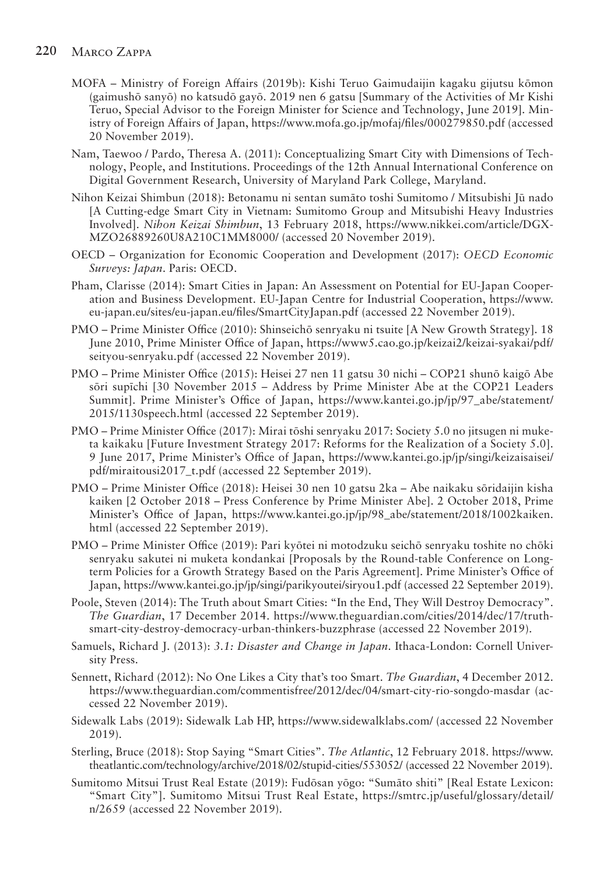#### **220** Marco Zappa

- MOFA Ministry of Foreign Affairs (2019b): Kishi Teruo Gaimudaijin kagaku gijutsu kōmon (gaimushō sanyō) no katsudō gayō. 2019 nen 6 gatsu [Summary of the Activities of Mr Kishi Teruo, Special Advisor to the Foreign Minister for Science and Technology, June 2019]. Ministry of Foreign Affairs of Japan, https://www.mofa.go.jp/mofaj/files/000279850.pdf (accessed 20 November 2019).
- Nam, Taewoo / Pardo, Theresa A. (2011): Conceptualizing Smart City with Dimensions of Technology, People, and Institutions. Proceedings of the 12th Annual International Conference on Digital Government Research, University of Maryland Park College, Maryland.
- Nihon Keizai Shimbun (2018): Betonamu ni sentan sumāto toshi Sumitomo / Mitsubishi Jū nado [A Cutting-edge Smart City in Vietnam: Sumitomo Group and Mitsubishi Heavy Industries Involved]. *Nihon Keizai Shimbun*, 13 February 2018, https://www.nikkei.com/article/DGX-MZO26889260U8A210C1MM8000/ (accessed 20 November 2019).
- OECD Organization for Economic Cooperation and Development (2017): *OECD Economic Surveys: Japan*. Paris: OECD.
- Pham, Clarisse (2014): Smart Cities in Japan: An Assessment on Potential for EU-Japan Cooperation and Business Development. EU-Japan Centre for Industrial Cooperation, https://www. eu-japan.eu/sites/eu-japan.eu/files/SmartCityJapan.pdf (accessed 22 November 2019).
- PMO Prime Minister Office (2010): Shinseichō senryaku ni tsuite [A New Growth Strategy]. 18 June 2010, Prime Minister Office of Japan, https://www5.cao.go.jp/keizai2/keizai-syakai/pdf/ seityou-senryaku.pdf (accessed 22 November 2019).
- PMO Prime Minister Office (2015): Heisei 27 nen 11 gatsu 30 nichi COP21 shunō kaigō Abe sōri supīchi [30 November 2015 – Address by Prime Minister Abe at the COP21 Leaders Summit]. Prime Minister's Office of Japan, https://www.kantei.go.jp/jp/97\_abe/statement/ 2015/1130speech.html (accessed 22 September 2019).
- PMO Prime Minister Office (2017): Mirai tōshi senryaku 2017: Society 5.0 no jitsugen ni muketa kaikaku [Future Investment Strategy 2017: Reforms for the Realization of a Society 5.0]. 9 June 2017, Prime Minister's Office of Japan, https://www.kantei.go.jp/jp/singi/keizaisaisei/ pdf/miraitousi2017\_t.pdf (accessed 22 September 2019).
- PMO Prime Minister Office (2018): Heisei 30 nen 10 gatsu 2ka Abe naikaku sōridaijin kisha kaiken [2 October 2018 – Press Conference by Prime Minister Abe]. 2 October 2018, Prime Minister's Office of Japan, https://www.kantei.go.jp/jp/98\_abe/statement/2018/1002kaiken. html (accessed 22 September 2019).
- PMO Prime Minister Office (2019): Pari kyōtei ni motodzuku seichō senryaku toshite no chōki senryaku sakutei ni muketa kondankai [Proposals by the Round-table Conference on Longterm Policies for a Growth Strategy Based on the Paris Agreement]. Prime Minister's Office of Japan, https://www.kantei.go.jp/jp/singi/parikyoutei/siryou1.pdf (accessed 22 September 2019).
- Poole, Steven (2014): The Truth about Smart Cities: "In the End, They Will Destroy Democracy". *The Guardian*, 17 December 2014. https://www.theguardian.com/cities/2014/dec/17/truthsmart-city-destroy-democracy-urban-thinkers-buzzphrase (accessed 22 November 2019).
- Samuels, Richard J. (2013): *3.1: Disaster and Change in Japan*. Ithaca-London: Cornell University Press.
- Sennett, Richard (2012): No One Likes a City that's too Smart. *The Guardian*, 4 December 2012. https://www.theguardian.com/commentisfree/2012/dec/04/smart-city-rio-songdo-masdar (accessed 22 November 2019).
- Sidewalk Labs (2019): Sidewalk Lab HP, https://www.sidewalklabs.com/ (accessed 22 November 2019).
- Sterling, Bruce (2018): Stop Saying "Smart Cities". *The Atlantic*, 12 February 2018. https://www. theatlantic.com/technology/archive/2018/02/stupid-cities/553052/ (accessed 22 November 2019).
- Sumitomo Mitsui Trust Real Estate (2019): Fudōsan yōgo: "Sumāto shiti" [Real Estate Lexicon: "Smart City"]. Sumitomo Mitsui Trust Real Estate, https://smtrc.jp/useful/glossary/detail/ n/2659 (accessed 22 November 2019).